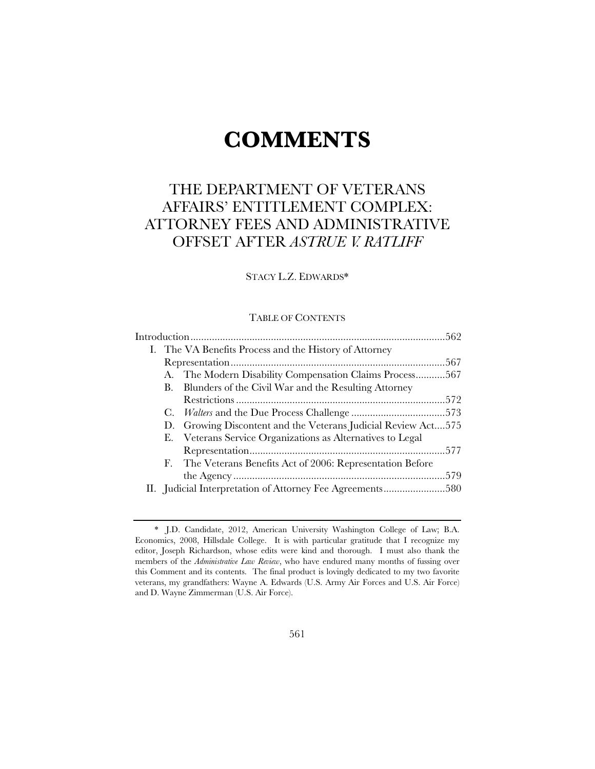# **COMMENTS**

# THE DEPARTMENT OF VETERANS AFFAIRS' ENTITLEMENT COMPLEX: ATTORNEY FEES AND ADMINISTRATIVE OFFSET AFTER *ASTRUE V. RATLIFF*

## STACY L.Z. EDWARDS\*

#### TABLE OF CONTENTS

| I. The VA Benefits Process and the History of Attorney        |  |
|---------------------------------------------------------------|--|
|                                                               |  |
| A. The Modern Disability Compensation Claims Process567       |  |
| Blunders of the Civil War and the Resulting Attorney<br>B.    |  |
|                                                               |  |
|                                                               |  |
| D. Growing Discontent and the Veterans Judicial Review Act575 |  |
| E. Veterans Service Organizations as Alternatives to Legal    |  |
|                                                               |  |
| F. The Veterans Benefits Act of 2006: Representation Before   |  |
|                                                               |  |
|                                                               |  |

<sup>\*</sup> J.D. Candidate, 2012, American University Washington College of Law; B.A. Economics, 2008, Hillsdale College. It is with particular gratitude that I recognize my editor, Joseph Richardson, whose edits were kind and thorough. I must also thank the members of the *Administrative Law Review*, who have endured many months of fussing over this Comment and its contents. The final product is lovingly dedicated to my two favorite veterans, my grandfathers: Wayne A. Edwards (U.S. Army Air Forces and U.S. Air Force) and D. Wayne Zimmerman (U.S. Air Force).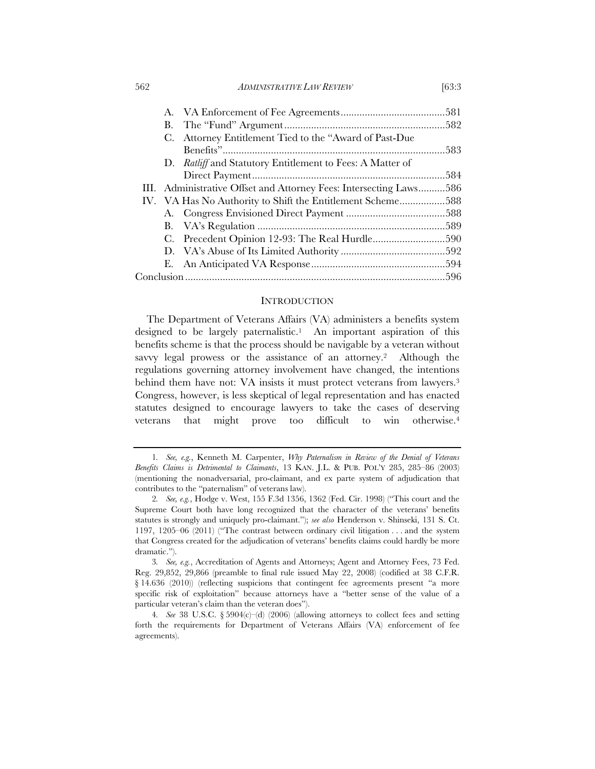562 *ADMINISTRATIVE LAW REVIEW* [63:3

|  | C. Attorney Entitlement Tied to the "Award of Past-Due             |  |
|--|--------------------------------------------------------------------|--|
|  |                                                                    |  |
|  | D. Ratliff and Statutory Entitlement to Fees: A Matter of          |  |
|  |                                                                    |  |
|  | III. Administrative Offset and Attorney Fees: Intersecting Laws586 |  |
|  | IV. VA Has No Authority to Shift the Entitlement Scheme588         |  |
|  |                                                                    |  |
|  |                                                                    |  |
|  |                                                                    |  |
|  |                                                                    |  |

#### INTRODUCTION

E. An Anticipated VA Response .................................................. 594 Conclusion ................................................................................................. 596

The Department of Veterans Affairs (VA) administers a benefits system designed to be largely paternalistic.<sup>1</sup> An important aspiration of this benefits scheme is that the process should be navigable by a veteran without savvy legal prowess or the assistance of an attorney.<sup>2</sup> Although the regulations governing attorney involvement have changed, the intentions behind them have not: VA insists it must protect veterans from lawyers.<sup>3</sup> Congress, however, is less skeptical of legal representation and has enacted statutes designed to encourage lawyers to take the cases of deserving veterans that might prove too difficult to win otherwise.4

<sup>1</sup>*. See, e.g.*, Kenneth M. Carpenter, *Why Paternalism in Review of the Denial of Veterans Benefits Claims is Detrimental to Claimants*, 13 KAN. J.L. & PUB. POL'Y 285, 285–86 (2003) (mentioning the nonadversarial, pro-claimant, and ex parte system of adjudication that contributes to the "paternalism" of veterans law).

<sup>2</sup>*. See, e.g.*, Hodge v. West, 155 F.3d 1356, 1362 (Fed. Cir. 1998) ("This court and the Supreme Court both have long recognized that the character of the veterans' benefits statutes is strongly and uniquely pro-claimant."); *see also* Henderson v. Shinseki, 131 S. Ct. 1197, 1205–06 (2011) ("The contrast between ordinary civil litigation . . . and the system that Congress created for the adjudication of veterans' benefits claims could hardly be more dramatic.").

<sup>3</sup>*. See, e.g.*, Accreditation of Agents and Attorneys; Agent and Attorney Fees, 73 Fed. Reg. 29,852, 29,866 (preamble to final rule issued May 22, 2008) (codified at 38 C.F.R. § 14.636 (2010)) (reflecting suspicions that contingent fee agreements present "a more specific risk of exploitation" because attorneys have a "better sense of the value of a particular veteran's claim than the veteran does").

<sup>4</sup>*. See* 38 U.S.C. § 5904(c)–(d) (2006) (allowing attorneys to collect fees and setting forth the requirements for Department of Veterans Affairs (VA) enforcement of fee agreements).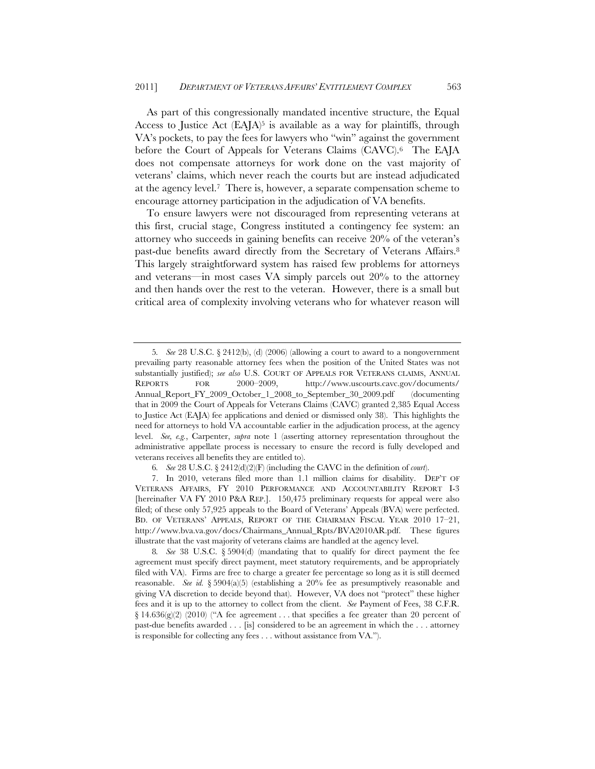As part of this congressionally mandated incentive structure, the Equal Access to Justice Act  $(EAJA)^5$  is available as a way for plaintiffs, through VA's pockets, to pay the fees for lawyers who "win" against the government before the Court of Appeals for Veterans Claims (CAVC).6 The EAJA does not compensate attorneys for work done on the vast majority of veterans' claims, which never reach the courts but are instead adjudicated at the agency level.7 There is, however, a separate compensation scheme to encourage attorney participation in the adjudication of VA benefits.

To ensure lawyers were not discouraged from representing veterans at this first, crucial stage, Congress instituted a contingency fee system: an attorney who succeeds in gaining benefits can receive 20% of the veteran's past-due benefits award directly from the Secretary of Veterans Affairs.8 This largely straightforward system has raised few problems for attorneys and veterans—in most cases VA simply parcels out 20% to the attorney and then hands over the rest to the veteran. However, there is a small but critical area of complexity involving veterans who for whatever reason will

<sup>5</sup>*. See* 28 U.S.C. § 2412(b), (d) (2006) (allowing a court to award to a nongovernment prevailing party reasonable attorney fees when the position of the United States was not substantially justified); *see also* U.S. COURT OF APPEALS FOR VETERANS CLAIMS, ANNUAL REPORTS FOR 2000–2009, http://www.uscourts.cavc.gov/documents/ Annual\_Report\_FY\_2009\_October\_1\_2008\_to\_September\_30\_2009.pdf (documenting that in 2009 the Court of Appeals for Veterans Claims (CAVC) granted 2,385 Equal Access to Justice Act (EAJA) fee applications and denied or dismissed only 38). This highlights the need for attorneys to hold VA accountable earlier in the adjudication process, at the agency level. *See, e.g.*, Carpenter, *supra* note 1 (asserting attorney representation throughout the administrative appellate process is necessary to ensure the record is fully developed and veterans receives all benefits they are entitled to).

<sup>6</sup>*. See* 28 U.S.C. § 2412(d)(2)(F) (including the CAVC in the definition of *court*).

<sup>7.</sup> In 2010, veterans filed more than 1.1 million claims for disability. DEP'T OF VETERANS AFFAIRS, FY 2010 PERFORMANCE AND ACCOUNTABILITY REPORT I-3 [hereinafter VA FY 2010 P&A REP.]. 150,475 preliminary requests for appeal were also filed; of these only 57,925 appeals to the Board of Veterans' Appeals (BVA) were perfected. BD. OF VETERANS' APPEALS, REPORT OF THE CHAIRMAN FISCAL YEAR 2010 17–21, http://www.bva.va.gov/docs/Chairmans\_Annual\_Rpts/BVA2010AR.pdf. These figures illustrate that the vast majority of veterans claims are handled at the agency level.

<sup>8</sup>*. See* 38 U.S.C. § 5904(d) (mandating that to qualify for direct payment the fee agreement must specify direct payment, meet statutory requirements, and be appropriately filed with VA). Firms are free to charge a greater fee percentage so long as it is still deemed reasonable. *See id.* § 5904(a)(5) (establishing a 20% fee as presumptively reasonable and giving VA discretion to decide beyond that). However, VA does not "protect" these higher fees and it is up to the attorney to collect from the client. *See* Payment of Fees, 38 C.F.R.  $\S 14.636(g)(2)$  (2010) ("A fee agreement . . . that specifies a fee greater than 20 percent of past-due benefits awarded . . . [is] considered to be an agreement in which the . . . attorney is responsible for collecting any fees . . . without assistance from VA.").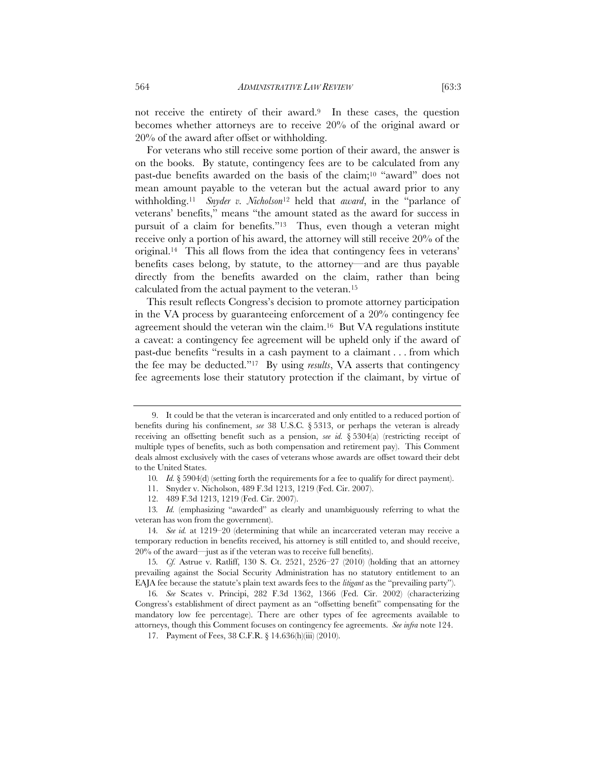not receive the entirety of their award.<sup>9</sup> In these cases, the question becomes whether attorneys are to receive 20% of the original award or 20% of the award after offset or withholding.

For veterans who still receive some portion of their award, the answer is on the books. By statute, contingency fees are to be calculated from any past-due benefits awarded on the basis of the claim;10 "award" does not mean amount payable to the veteran but the actual award prior to any withholding.11 *Snyder v. Nicholson*<sup>12</sup> held that *award*, in the "parlance of veterans' benefits," means "the amount stated as the award for success in pursuit of a claim for benefits."13 Thus, even though a veteran might receive only a portion of his award, the attorney will still receive 20% of the original.14 This all flows from the idea that contingency fees in veterans' benefits cases belong, by statute, to the attorney—and are thus payable directly from the benefits awarded on the claim, rather than being calculated from the actual payment to the veteran.15

This result reflects Congress's decision to promote attorney participation in the VA process by guaranteeing enforcement of a 20% contingency fee agreement should the veteran win the claim.16 But VA regulations institute a caveat: a contingency fee agreement will be upheld only if the award of past-due benefits "results in a cash payment to a claimant . . . from which the fee may be deducted."17 By using *results*, VA asserts that contingency fee agreements lose their statutory protection if the claimant, by virtue of

<sup>9.</sup> It could be that the veteran is incarcerated and only entitled to a reduced portion of benefits during his confinement, *see* 38 U.S.C*.* § 5313, or perhaps the veteran is already receiving an offsetting benefit such as a pension, *see id.* § 5304(a) (restricting receipt of multiple types of benefits, such as both compensation and retirement pay). This Comment deals almost exclusively with the cases of veterans whose awards are offset toward their debt to the United States.

<sup>10</sup>*. Id.* § 5904(d) (setting forth the requirements for a fee to qualify for direct payment).

<sup>11.</sup> Snyder v. Nicholson, 489 F.3d 1213, 1219 (Fed. Cir. 2007).

<sup>12. 489</sup> F.3d 1213, 1219 (Fed. Cir. 2007).

<sup>13</sup>*. Id.* (emphasizing "awarded" as clearly and unambiguously referring to what the veteran has won from the government).

<sup>14</sup>*. See id.* at 1219–20 (determining that while an incarcerated veteran may receive a temporary reduction in benefits received, his attorney is still entitled to, and should receive, 20% of the award—just as if the veteran was to receive full benefits).

<sup>15</sup>*. Cf.* Astrue v. Ratliff, 130 S. Ct. 2521, 2526–27 (2010) (holding that an attorney prevailing against the Social Security Administration has no statutory entitlement to an EAJA fee because the statute's plain text awards fees to the *litigant* as the "prevailing party").

<sup>16</sup>*. See* Scates v. Principi, 282 F.3d 1362, 1366 (Fed. Cir. 2002) (characterizing Congress's establishment of direct payment as an "offsetting benefit" compensating for the mandatory low fee percentage). There are other types of fee agreements available to attorneys, though this Comment focuses on contingency fee agreements. *See infra* note 124.

<sup>17.</sup> Payment of Fees, 38 C.F.R. § 14.636(h)(iii) (2010).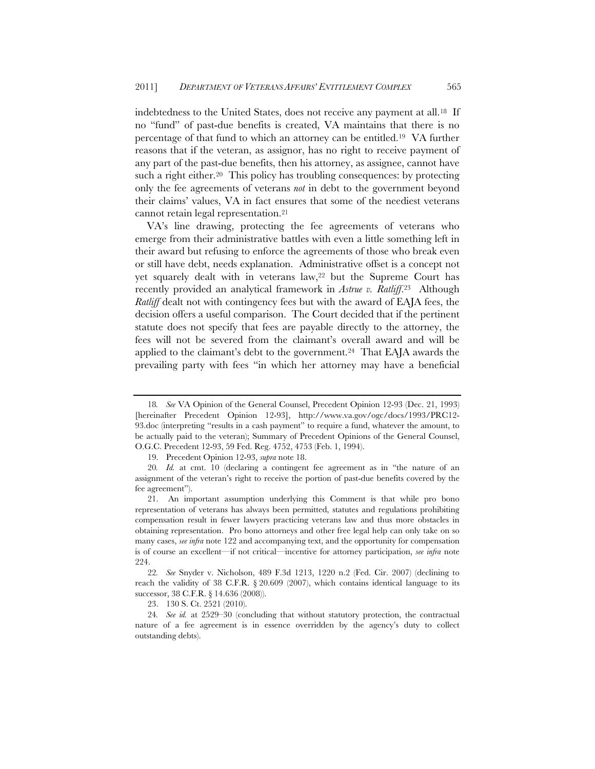indebtedness to the United States, does not receive any payment at all.18 If no "fund" of past-due benefits is created, VA maintains that there is no percentage of that fund to which an attorney can be entitled.19 VA further reasons that if the veteran, as assignor, has no right to receive payment of any part of the past-due benefits, then his attorney, as assignee, cannot have such a right either.<sup>20</sup> This policy has troubling consequences: by protecting only the fee agreements of veterans *not* in debt to the government beyond their claims' values, VA in fact ensures that some of the neediest veterans cannot retain legal representation.21

VA's line drawing, protecting the fee agreements of veterans who emerge from their administrative battles with even a little something left in their award but refusing to enforce the agreements of those who break even or still have debt, needs explanation. Administrative offset is a concept not yet squarely dealt with in veterans law,<sup>22</sup> but the Supreme Court has recently provided an analytical framework in *Astrue v. Ratliff*.23 Although *Ratliff* dealt not with contingency fees but with the award of EAJA fees, the decision offers a useful comparison. The Court decided that if the pertinent statute does not specify that fees are payable directly to the attorney, the fees will not be severed from the claimant's overall award and will be applied to the claimant's debt to the government.24 That EAJA awards the prevailing party with fees "in which her attorney may have a beneficial

<sup>18</sup>*. See* VA Opinion of the General Counsel, Precedent Opinion 12-93 (Dec. 21, 1993) [hereinafter Precedent Opinion 12-93], http://www.va.gov/ogc/docs/1993/PRC12- 93.doc (interpreting "results in a cash payment" to require a fund, whatever the amount, to be actually paid to the veteran); Summary of Precedent Opinions of the General Counsel, O.G.C. Precedent 12-93, 59 Fed. Reg. 4752, 4753 (Feb. 1, 1994).

<sup>19.</sup> Precedent Opinion 12-93, *supra* note 18.

<sup>20</sup>*. Id.* at cmt. 10 (declaring a contingent fee agreement as in "the nature of an assignment of the veteran's right to receive the portion of past-due benefits covered by the fee agreement").

<sup>21.</sup> An important assumption underlying this Comment is that while pro bono representation of veterans has always been permitted, statutes and regulations prohibiting compensation result in fewer lawyers practicing veterans law and thus more obstacles in obtaining representation. Pro bono attorneys and other free legal help can only take on so many cases, *see infra* note 122 and accompanying text, and the opportunity for compensation is of course an excellent—if not critical—incentive for attorney participation, *see infra* note 224.

<sup>22</sup>*. See* Snyder v. Nicholson, 489 F.3d 1213, 1220 n.2 (Fed. Cir. 2007) (declining to reach the validity of 38 C.F.R. § 20.609 (2007), which contains identical language to its successor, 38 C.F.R. § 14.636 (2008)).

<sup>23. 130</sup> S. Ct. 2521 (2010).

<sup>24</sup>*. See id.* at 2529–30 (concluding that without statutory protection, the contractual nature of a fee agreement is in essence overridden by the agency's duty to collect outstanding debts).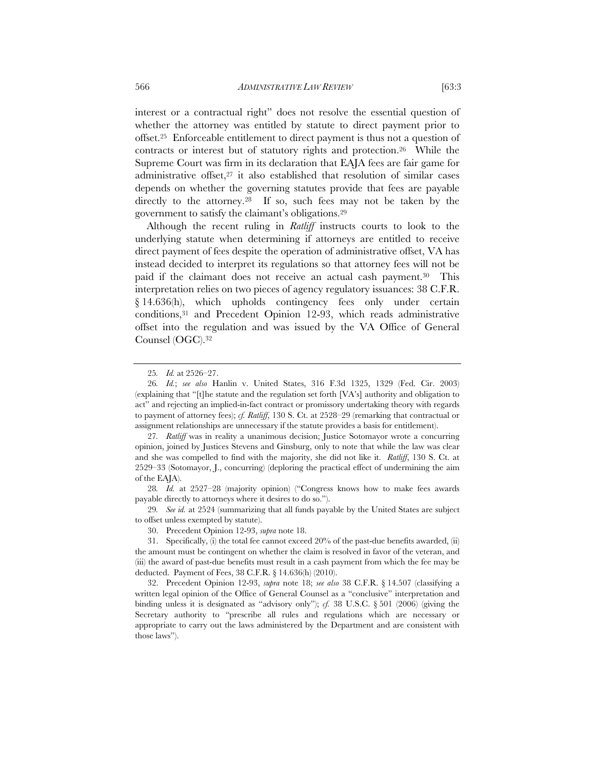interest or a contractual right" does not resolve the essential question of whether the attorney was entitled by statute to direct payment prior to offset.25 Enforceable entitlement to direct payment is thus not a question of contracts or interest but of statutory rights and protection.26 While the Supreme Court was firm in its declaration that EAJA fees are fair game for administrative offset,27 it also established that resolution of similar cases depends on whether the governing statutes provide that fees are payable directly to the attorney.<sup>28</sup> If so, such fees may not be taken by the government to satisfy the claimant's obligations.29

Although the recent ruling in *Ratliff* instructs courts to look to the underlying statute when determining if attorneys are entitled to receive direct payment of fees despite the operation of administrative offset, VA has instead decided to interpret its regulations so that attorney fees will not be paid if the claimant does not receive an actual cash payment.<sup>30</sup> This interpretation relies on two pieces of agency regulatory issuances: 38 C.F.R. § 14.636(h), which upholds contingency fees only under certain conditions,31 and Precedent Opinion 12-93, which reads administrative offset into the regulation and was issued by the VA Office of General Counsel (OGC).32

29*. See id.* at 2524 (summarizing that all funds payable by the United States are subject to offset unless exempted by statute).

<sup>25</sup>*. Id.* at 2526–27.

<sup>26</sup>*. Id.*; *see also* Hanlin v. United States, 316 F.3d 1325, 1329 (Fed. Cir. 2003) (explaining that "[t]he statute and the regulation set forth [VA's] authority and obligation to act" and rejecting an implied-in-fact contract or promissory undertaking theory with regards to payment of attorney fees); *cf. Ratliff*, 130 S. Ct. at 2528–29 (remarking that contractual or assignment relationships are unnecessary if the statute provides a basis for entitlement).

<sup>27</sup>*. Ratliff* was in reality a unanimous decision; Justice Sotomayor wrote a concurring opinion, joined by Justices Stevens and Ginsburg, only to note that while the law was clear and she was compelled to find with the majority, she did not like it. *Ratliff*, 130 S. Ct. at 2529–33 (Sotomayor, J., concurring) (deploring the practical effect of undermining the aim of the EAJA).

<sup>28</sup>*. Id.* at 2527–28 (majority opinion) ("Congress knows how to make fees awards payable directly to attorneys where it desires to do so.").

<sup>30.</sup> Precedent Opinion 12-93, *supra* note 18.

<sup>31.</sup> Specifically, (i) the total fee cannot exceed  $20\%$  of the past-due benefits awarded, (ii) the amount must be contingent on whether the claim is resolved in favor of the veteran, and (iii) the award of past-due benefits must result in a cash payment from which the fee may be deducted. Payment of Fees, 38 C.F.R. § 14.636(h) (2010).

<sup>32.</sup> Precedent Opinion 12-93, *supra* note 18; *see also* 38 C.F.R. § 14.507 (classifying a written legal opinion of the Office of General Counsel as a "conclusive" interpretation and binding unless it is designated as "advisory only"); *cf.* 38 U.S.C. § 501 (2006) (giving the Secretary authority to "prescribe all rules and regulations which are necessary or appropriate to carry out the laws administered by the Department and are consistent with those laws").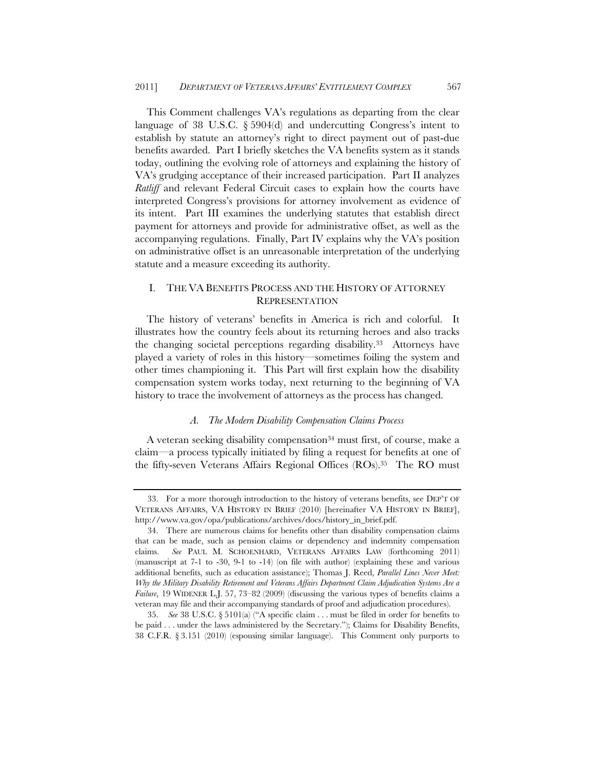This Comment challenges VA's regulations as departing from the clear language of 38 U.S.C. § 5904(d) and undercutting Congress's intent to establish by statute an attorney's right to direct payment out of past-due benefits awarded. Part I briefly sketches the VA benefits system as it stands today, outlining the evolving role of attorneys and explaining the history of VA's grudging acceptance of their increased participation. Part II analyzes *Ratliff* and relevant Federal Circuit cases to explain how the courts have interpreted Congress's provisions for attorney involvement as evidence of its intent. Part III examines the underlying statutes that establish direct payment for attorneys and provide for administrative offset, as well as the accompanying regulations. Finally, Part IV explains why the VA's position on administrative offset is an unreasonable interpretation of the underlying statute and a measure exceeding its authority.

# I. THE VA BENEFITS PROCESS AND THE HISTORY OF ATTORNEY **REPRESENTATION**

The history of veterans' benefits in America is rich and colorful. It illustrates how the country feels about its returning heroes and also tracks the changing societal perceptions regarding disability.33 Attorneys have played a variety of roles in this history—sometimes foiling the system and other times championing it. This Part will first explain how the disability compensation system works today, next returning to the beginning of VA history to trace the involvement of attorneys as the process has changed.

#### *A. The Modern Disability Compensation Claims Process*

A veteran seeking disability compensation<sup>34</sup> must first, of course, make a claim—a process typically initiated by filing a request for benefits at one of the fifty-seven Veterans Affairs Regional Offices (ROs).35 The RO must

<sup>33.</sup> For a more thorough introduction to the history of veterans benefits, see DEP'T OF VETERANS AFFAIRS, VA HISTORY IN BRIEF (2010) [hereinafter VA HISTORY IN BRIEF], http://www.va.gov/opa/publications/archives/docs/history\_in\_brief.pdf.

<sup>34.</sup> There are numerous claims for benefits other than disability compensation claims that can be made, such as pension claims or dependency and indemnity compensation claims. *See* PAUL M. SCHOENHARD, VETERANS AFFAIRS LAW (forthcoming 2011) (manuscript at 7-1 to -30, 9-1 to -14) (on file with author) (explaining these and various additional benefits, such as education assistance); Thomas J. Reed, *Parallel Lines Never Meet: Why the Military Disability Retirement and Veterans Affairs Department Claim Adjudication Systems Are a Failure*, 19 WIDENER L.J. 57, 73–82 (2009) (discussing the various types of benefits claims a veteran may file and their accompanying standards of proof and adjudication procedures).

<sup>35.</sup> *See* 38 U.S.C. § 5101(a) ("A specific claim . . . must be filed in order for benefits to be paid . . . under the laws administered by the Secretary."); Claims for Disability Benefits, 38 C.F.R. § 3.151 (2010) (espousing similar language). This Comment only purports to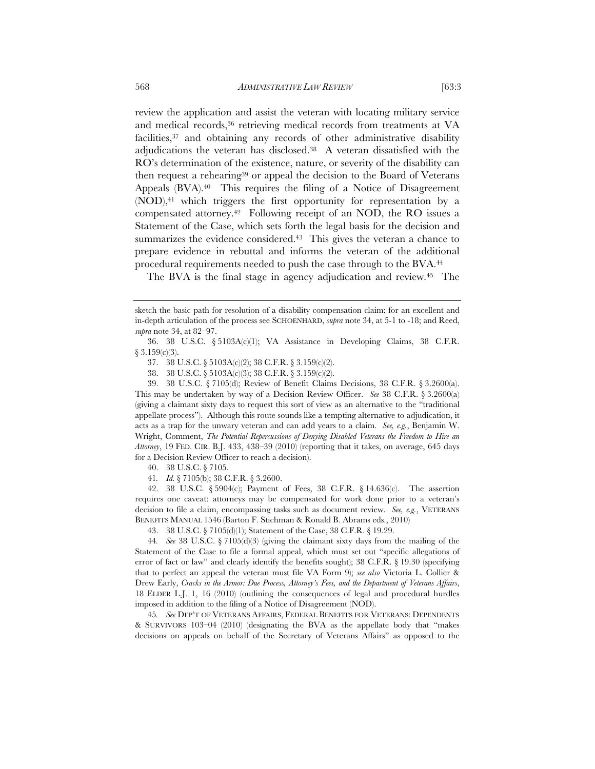review the application and assist the veteran with locating military service and medical records,36 retrieving medical records from treatments at VA facilities,<sup>37</sup> and obtaining any records of other administrative disability adjudications the veteran has disclosed.38 A veteran dissatisfied with the RO's determination of the existence, nature, or severity of the disability can then request a rehearing<sup>39</sup> or appeal the decision to the Board of Veterans Appeals (BVA).<sup>40</sup> This requires the filing of a Notice of Disagreement (NOD),41 which triggers the first opportunity for representation by a compensated attorney.42Following receipt of an NOD, the RO issues a Statement of the Case, which sets forth the legal basis for the decision and summarizes the evidence considered.<sup>43</sup> This gives the veteran a chance to prepare evidence in rebuttal and informs the veteran of the additional procedural requirements needed to push the case through to the BVA.44

The BVA is the final stage in agency adjudication and review.45 The

40. 38 U.S.C. § 7105.

45*. See* DEP'T OF VETERANS AFFAIRS, FEDERAL BENEFITS FOR VETERANS: DEPENDENTS & SURVIVORS 103–04 (2010) (designating the BVA as the appellate body that "makes decisions on appeals on behalf of the Secretary of Veterans Affairs" as opposed to the

sketch the basic path for resolution of a disability compensation claim; for an excellent and in-depth articulation of the process see SCHOENHARD, *supra* note 34, at 5-1 to -18; and Reed, *supra* note 34, at 82–97.

<sup>36. 38</sup> U.S.C. § 5103A(c)(1); VA Assistance in Developing Claims, 38 C.F.R.  $§ 3.159(c)(3).$ 

<sup>37. 38</sup> U.S.C. § 5103A(c)(2); 38 C.F.R. § 3.159(c)(2).

<sup>38. 38</sup> U.S.C. § 5103A(c)(3); 38 C.F.R. § 3.159(c)(2).

<sup>39. 38</sup> U.S.C. § 7105(d); Review of Benefit Claims Decisions, 38 C.F.R. § 3.2600(a). This may be undertaken by way of a Decision Review Officer. *See* 38 C.F.R. § 3.2600(a) (giving a claimant sixty days to request this sort of view as an alternative to the "traditional appellate process"). Although this route sounds like a tempting alternative to adjudication, it acts as a trap for the unwary veteran and can add years to a claim. *See, e.g.*, Benjamin W. Wright, Comment, *The Potential Repercussions of Denying Disabled Veterans the Freedom to Hire an Attorney*, 19 FED. CIR. B.J. 433, 438–39 (2010) (reporting that it takes, on average, 645 days for a Decision Review Officer to reach a decision).

<sup>41</sup>*. Id.* § 7105(b); 38 C.F.R. § 3.2600.

<sup>42. 38</sup> U.S.C. § 5904(c); Payment of Fees, 38 C.F.R. § 14.636(c). The assertion requires one caveat: attorneys may be compensated for work done prior to a veteran's decision to file a claim, encompassing tasks such as document review. *See, e.g.*, VETERANS BENEFITS MANUAL 1546 (Barton F. Stichman & Ronald B. Abrams eds., 2010)

<sup>43. 38</sup> U.S.C. § 7105(d)(1); Statement of the Case, 38 C.F.R. § 19.29.

<sup>44</sup>*. See* 38 U.S.C. § 7105(d)(3) (giving the claimant sixty days from the mailing of the Statement of the Case to file a formal appeal, which must set out "specific allegations of error of fact or law" and clearly identify the benefits sought);  $38 \text{ C.F.R.}$  §  $19.30$  (specifying that to perfect an appeal the veteran must file VA Form 9); *see also* Victoria L. Collier & Drew Early, *Cracks in the Armor: Due Process, Attorney's Fees, and the Department of Veterans Affairs*, 18 ELDER L.J. 1, 16 (2010) (outlining the consequences of legal and procedural hurdles imposed in addition to the filing of a Notice of Disagreement (NOD).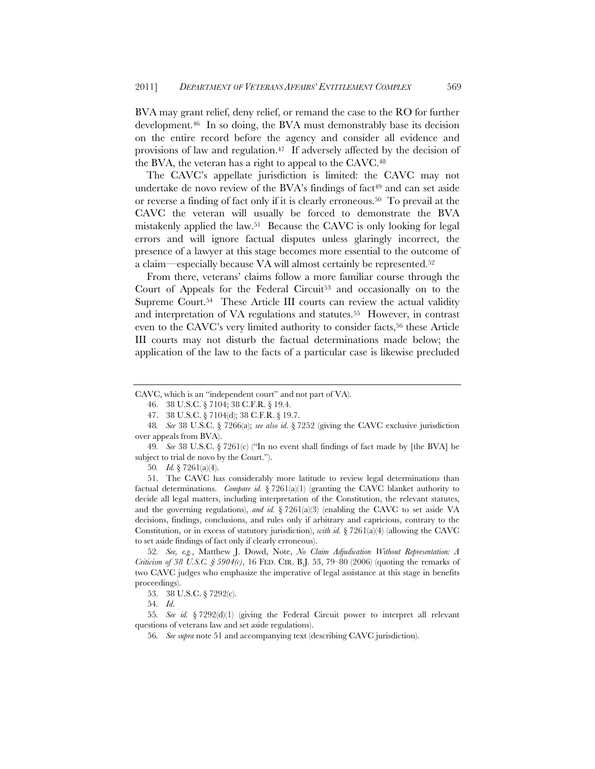BVA may grant relief, deny relief, or remand the case to the RO for further development.46 In so doing, the BVA must demonstrably base its decision on the entire record before the agency and consider all evidence and provisions of law and regulation.47 If adversely affected by the decision of the BVA, the veteran has a right to appeal to the CAVC.<sup>48</sup>

The CAVC's appellate jurisdiction is limited: the CAVC may not undertake de novo review of the BVA's findings of fact<sup>49</sup> and can set aside or reverse a finding of fact only if it is clearly erroneous.50 To prevail at the CAVC the veteran will usually be forced to demonstrate the BVA mistakenly applied the law.51 Because the CAVC is only looking for legal errors and will ignore factual disputes unless glaringly incorrect, the presence of a lawyer at this stage becomes more essential to the outcome of a claim—especially because VA will almost certainly be represented.52

From there, veterans' claims follow a more familiar course through the Court of Appeals for the Federal Circuit<sup>53</sup> and occasionally on to the Supreme Court.54 These Article III courts can review the actual validity and interpretation of VA regulations and statutes.55 However, in contrast even to the CAVC's very limited authority to consider facts,<sup>56</sup> these Article III courts may not disturb the factual determinations made below; the application of the law to the facts of a particular case is likewise precluded

CAVC, which is an "independent court" and not part of VA).

<sup>46. 38</sup> U.S.C. § 7104; 38 C.F.R. § 19.4.

<sup>47. 38</sup> U.S.C. § 7104(d); 38 C.F.R. § 19.7.

<sup>48</sup>*. See* 38 U.S.C. § 7266(a); *see also id.* § 7252 (giving the CAVC exclusive jurisdiction over appeals from BVA).

<sup>49</sup>*. See* 38 U.S.C. § 7261(c) ("In no event shall findings of fact made by [the BVA] be subject to trial de novo by the Court.").

<sup>50</sup>*. Id.* § 7261(a)(4).

<sup>51.</sup> The CAVC has considerably more latitude to review legal determinations than factual determinations. *Compare id.* § 7261(a)(1) (granting the CAVC blanket authority to decide all legal matters, including interpretation of the Constitution, the relevant statutes, and the governing regulations), *and id.*  $\S 7261(a)(3)$  (enabling the CAVC to set aside VA decisions, findings, conclusions, and rules only if arbitrary and capricious, contrary to the Constitution, or in excess of statutory jurisdiction), *with id.*  $\S 7261(a)(4)$  (allowing the CAVC to set aside findings of fact only if clearly erroneous).

<sup>52</sup>*. See, e.g.*, Matthew J. Dowd, Note, *No Claim Adjudication Without Representation: A Criticism of 38 U.S.C. § 5904(c)*, 16 FED. CIR. B.J. 53, 79–80 (2006) (quoting the remarks of two CAVC judges who emphasize the imperative of legal assistance at this stage in benefits proceedings).

<sup>53. 38</sup> U.S.C. § 7292(c).

<sup>54</sup>*. Id*.

<sup>55</sup>*. See id.* § 7292(d)(1) (giving the Federal Circuit power to interpret all relevant questions of veterans law and set aside regulations).

<sup>56</sup>*. See supra* note 51 and accompanying text (describing CAVC jurisdiction).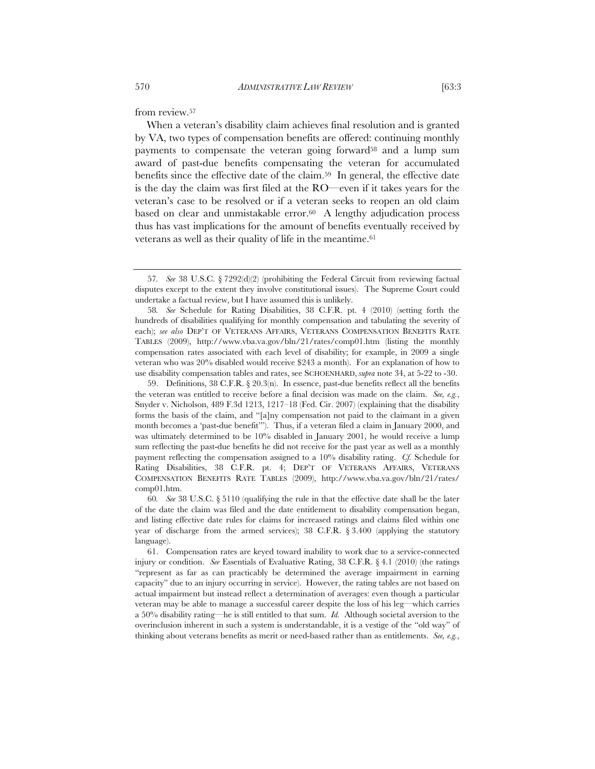from review.<sup>57</sup>

When a veteran's disability claim achieves final resolution and is granted by VA, two types of compensation benefits are offered: continuing monthly payments to compensate the veteran going forward58 and a lump sum award of past-due benefits compensating the veteran for accumulated benefits since the effective date of the claim.59 In general, the effective date is the day the claim was first filed at the RO—even if it takes years for the veteran's case to be resolved or if a veteran seeks to reopen an old claim based on clear and unmistakable error.<sup>60</sup> A lengthy adjudication process thus has vast implications for the amount of benefits eventually received by veterans as well as their quality of life in the meantime.<sup>61</sup>

59. Definitions, 38 C.F.R. § 20.3(n). In essence, past-due benefits reflect all the benefits the veteran was entitled to receive before a final decision was made on the claim. *See, e.g.*, Snyder v. Nicholson, 489 F.3d 1213, 1217–18 (Fed. Cir. 2007) (explaining that the disability forms the basis of the claim, and "[a]ny compensation not paid to the claimant in a given month becomes a 'past-due benefit'"). Thus, if a veteran filed a claim in January 2000, and was ultimately determined to be 10% disabled in January 2001, he would receive a lump sum reflecting the past-due benefits he did not receive for the past year as well as a monthly payment reflecting the compensation assigned to a 10% disability rating. *Cf.* Schedule for Rating Disabilities, 38 C.F.R. pt. 4; DEP'T OF VETERANS AFFAIRS, VETERANS COMPENSATION BENEFITS RATE TABLES (2009), http://www.vba.va.gov/bln/21/rates/ comp01.htm.

60*. See* 38 U.S.C. § 5110 (qualifying the rule in that the effective date shall be the later of the date the claim was filed and the date entitlement to disability compensation began, and listing effective date rules for claims for increased ratings and claims filed within one year of discharge from the armed services); 38 C.F.R. § 3.400 (applying the statutory language).

61. Compensation rates are keyed toward inability to work due to a service-connected injury or condition. *See* Essentials of Evaluative Rating, 38 C.F.R. § 4.1 (2010) (the ratings "represent as far as can practicably be determined the average impairment in earning capacity" due to an injury occurring in service). However, the rating tables are not based on actual impairment but instead reflect a determination of averages: even though a particular veteran may be able to manage a successful career despite the loss of his leg—which carries a 50% disability rating—he is still entitled to that sum. *Id.* Although societal aversion to the overinclusion inherent in such a system is understandable, it is a vestige of the "old way" of thinking about veterans benefits as merit or need-based rather than as entitlements. *See, e.g.*,

<sup>57</sup>*. See* 38 U.S.C. § 7292(d)(2) (prohibiting the Federal Circuit from reviewing factual disputes except to the extent they involve constitutional issues). The Supreme Court could undertake a factual review, but I have assumed this is unlikely.

<sup>58</sup>*. See* Schedule for Rating Disabilities, 38 C.F.R. pt. 4 (2010) (setting forth the hundreds of disabilities qualifying for monthly compensation and tabulating the severity of each); *see also* DEP'T OF VETERANS AFFAIRS, VETERANS COMPENSATION BENEFITS RATE TABLES (2009), http://www.vba.va.gov/bln/21/rates/comp01.htm (listing the monthly compensation rates associated with each level of disability; for example, in 2009 a single veteran who was 20% disabled would receive \$243 a month). For an explanation of how to use disability compensation tables and rates, see SCHOENHARD, *supra* note 34, at 5-22 to -30.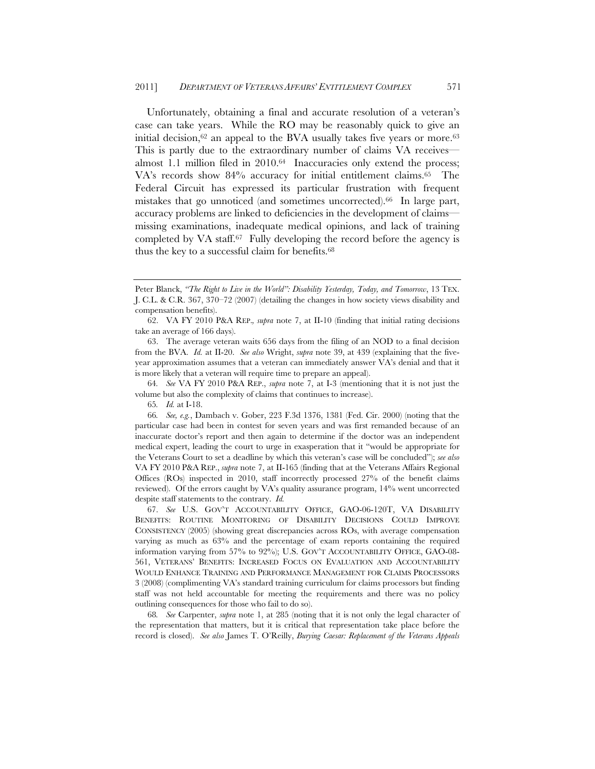Unfortunately, obtaining a final and accurate resolution of a veteran's case can take years. While the RO may be reasonably quick to give an initial decision, $62$  an appeal to the BVA usually takes five years or more. $63$ This is partly due to the extraordinary number of claims VA receives almost 1.1 million filed in 2010.64 Inaccuracies only extend the process; VA's records show 84% accuracy for initial entitlement claims.65 The Federal Circuit has expressed its particular frustration with frequent mistakes that go unnoticed (and sometimes uncorrected).66 In large part, accuracy problems are linked to deficiencies in the development of claims missing examinations, inadequate medical opinions, and lack of training completed by VA staff.<sup>67</sup> Fully developing the record before the agency is thus the key to a successful claim for benefits.68

63. The average veteran waits 656 days from the filing of an NOD to a final decision from the BVA. *Id.* at II-20. *See also* Wright, *supra* note 39, at 439 (explaining that the fiveyear approximation assumes that a veteran can immediately answer VA's denial and that it is more likely that a veteran will require time to prepare an appeal).

64*. See* VA FY 2010 P&A REP., *supra* note 7, at I-3 (mentioning that it is not just the volume but also the complexity of claims that continues to increase).

65*. Id.* at I-18.

66*. See, e.g.*, Dambach v. Gober, 223 F.3d 1376, 1381 (Fed. Cir. 2000) (noting that the particular case had been in contest for seven years and was first remanded because of an inaccurate doctor's report and then again to determine if the doctor was an independent medical expert, leading the court to urge in exasperation that it "would be appropriate for the Veterans Court to set a deadline by which this veteran's case will be concluded"); *see also* VA FY 2010 P&A REP., *supra* note 7, at II-165 (finding that at the Veterans Affairs Regional Offices (ROs) inspected in 2010, staff incorrectly processed 27% of the benefit claims reviewed). Of the errors caught by VA's quality assurance program, 14% went uncorrected despite staff statements to the contrary. *Id.*

67. *See* U.S. GOV'T ACCOUNTABILITY OFFICE, GAO-06-120T, VA DISABILITY BENEFITS: ROUTINE MONITORING OF DISABILITY DECISIONS COULD IMPROVE CONSISTENCY (2005) (showing great discrepancies across ROs, with average compensation varying as much as 63% and the percentage of exam reports containing the required information varying from 57% to 92%); U.S. GOV'T ACCOUNTABILITY OFFICE, GAO-08- 561, VETERANS' BENEFITS: INCREASED FOCUS ON EVALUATION AND ACCOUNTABILITY WOULD ENHANCE TRAINING AND PERFORMANCE MANAGEMENT FOR CLAIMS PROCESSORS 3 (2008) (complimenting VA's standard training curriculum for claims processors but finding staff was not held accountable for meeting the requirements and there was no policy outlining consequences for those who fail to do so).

68*. See* Carpenter, *supra* note 1, at 285 (noting that it is not only the legal character of the representation that matters, but it is critical that representation take place before the record is closed). *See also* James T. O'Reilly, *Burying Caesar: Replacement of the Veterans Appeals* 

Peter Blanck, *"The Right to Live in the World": Disability Yesterday, Today, and Tomorrow*, 13 TEX. J. C.L. & C.R. 367, 370–72 (2007) (detailing the changes in how society views disability and compensation benefits).

<sup>62.</sup> VA FY 2010 P&A REP.*, supra* note 7, at II-10 (finding that initial rating decisions take an average of 166 days).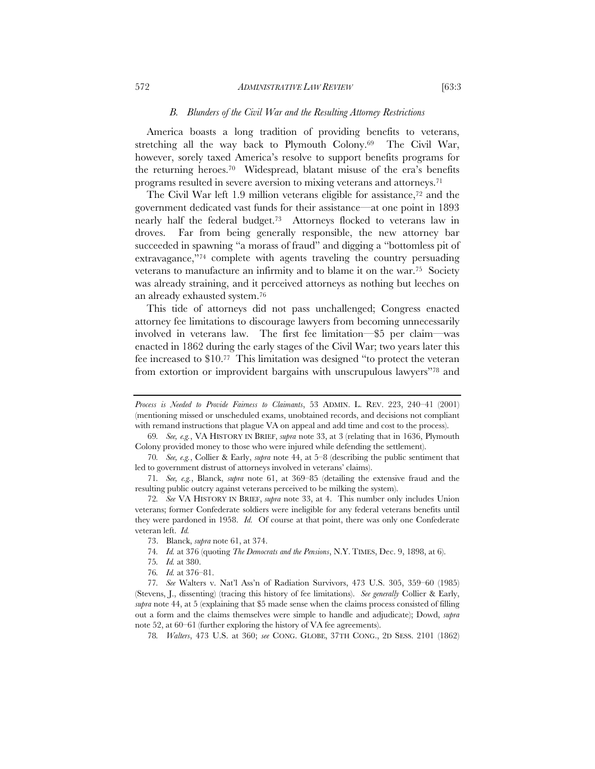#### *B. Blunders of the Civil War and the Resulting Attorney Restrictions*

America boasts a long tradition of providing benefits to veterans, stretching all the way back to Plymouth Colony.<sup>69</sup> The Civil War, however, sorely taxed America's resolve to support benefits programs for the returning heroes.70 Widespread, blatant misuse of the era's benefits programs resulted in severe aversion to mixing veterans and attorneys.71

The Civil War left 1.9 million veterans eligible for assistance,<sup>72</sup> and the government dedicated vast funds for their assistance—at one point in 1893 nearly half the federal budget.73 Attorneys flocked to veterans law in droves. Far from being generally responsible, the new attorney bar succeeded in spawning "a morass of fraud" and digging a "bottomless pit of extravagance,"74 complete with agents traveling the country persuading veterans to manufacture an infirmity and to blame it on the war.75 Society was already straining, and it perceived attorneys as nothing but leeches on an already exhausted system.76

This tide of attorneys did not pass unchallenged; Congress enacted attorney fee limitations to discourage lawyers from becoming unnecessarily involved in veterans law. The first fee limitation—\$5 per claim—was enacted in 1862 during the early stages of the Civil War; two years later this fee increased to \$10.77 This limitation was designed "to protect the veteran from extortion or improvident bargains with unscrupulous lawyers"78 and

- 74*. Id.* at 376 (quoting *The Democrats and the Pensions*, N.Y. TIMES, Dec. 9, 1898, at 6).
- 75*. Id.* at 380.
- 76*. Id.* at 376–81.

77*. See* Walters v. Nat'l Ass'n of Radiation Survivors, 473 U.S. 305, 359–60 (1985) (Stevens, J., dissenting) (tracing this history of fee limitations). *See generally* Collier & Early, *supra* note 44, at 5 (explaining that \$5 made sense when the claims process consisted of filling out a form and the claims themselves were simple to handle and adjudicate); Dowd, *supra* note 52, at 60–61 (further exploring the history of VA fee agreements).

78*. Walters*, 473 U.S. at 360; *see* CONG. GLOBE, 37TH CONG., 2D SESS. 2101 (1862)

*Process is Needed to Provide Fairness to Claimants*, 53 ADMIN. L. REV. 223, 240–41 (2001) (mentioning missed or unscheduled exams, unobtained records, and decisions not compliant with remand instructions that plague VA on appeal and add time and cost to the process).

<sup>69</sup>*. See, e.g.*, VA HISTORY IN BRIEF, *supra* note 33, at 3 (relating that in 1636, Plymouth Colony provided money to those who were injured while defending the settlement).

<sup>70</sup>*. See, e.g.*, Collier & Early, *supra* note 44, at 5–8 (describing the public sentiment that led to government distrust of attorneys involved in veterans' claims).

<sup>71</sup>*. See, e.g.*, Blanck, *supra* note 61, at 369–85 (detailing the extensive fraud and the resulting public outcry against veterans perceived to be milking the system).

<sup>72</sup>*. See* VA HISTORY IN BRIEF, *supra* note 33, at 4. This number only includes Union veterans; former Confederate soldiers were ineligible for any federal veterans benefits until they were pardoned in 1958. *Id.* Of course at that point, there was only one Confederate veteran left. *Id.*

<sup>73.</sup> Blanck, *supra* note 61, at 374.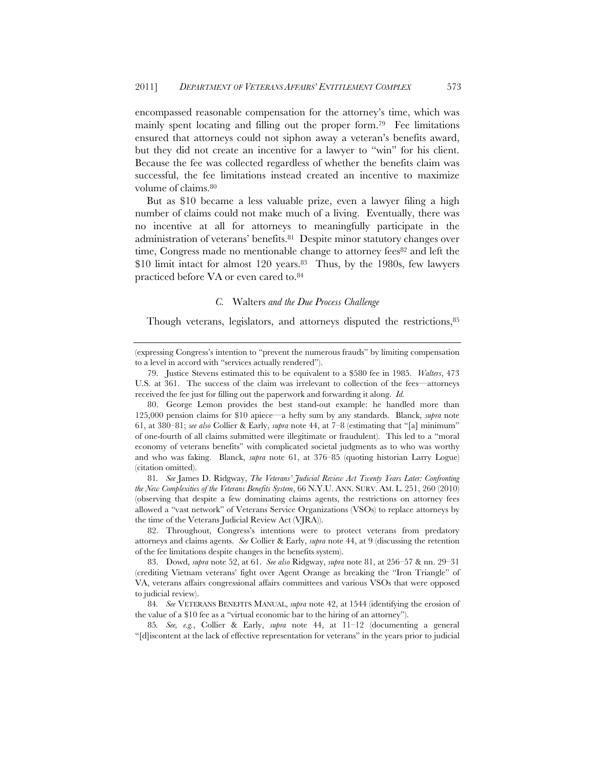encompassed reasonable compensation for the attorney's time, which was mainly spent locating and filling out the proper form.79 Fee limitations ensured that attorneys could not siphon away a veteran's benefits award, but they did not create an incentive for a lawyer to "win" for his client. Because the fee was collected regardless of whether the benefits claim was successful, the fee limitations instead created an incentive to maximize volume of claims.80

But as \$10 became a less valuable prize, even a lawyer filing a high number of claims could not make much of a living. Eventually, there was no incentive at all for attorneys to meaningfully participate in the administration of veterans' benefits.81 Despite minor statutory changes over time, Congress made no mentionable change to attorney fees<sup>82</sup> and left the \$10 limit intact for almost 120 years.<sup>83</sup> Thus, by the 1980s, few lawyers practiced before VA or even cared to.84

#### *C.* Walters *and the Due Process Challenge*

Though veterans, legislators, and attorneys disputed the restrictions,  $85$ 

81*. See* James D. Ridgway, *The Veterans' Judicial Review Act Twenty Years Later: Confronting the New Complexities of the Veterans Benefits System*, 66 N.Y.U. ANN. SURV. AM. L. 251, 260 (2010) (observing that despite a few dominating claims agents, the restrictions on attorney fees allowed a "vast network" of Veterans Service Organizations (VSOs) to replace attorneys by the time of the Veterans Judicial Review Act (VJRA)).

82. Throughout, Congress's intentions were to protect veterans from predatory attorneys and claims agents. *See* Collier & Early, *supra* note 44, at 9 (discussing the retention of the fee limitations despite changes in the benefits system).

83. Dowd, *supra* note 52, at 61. *See also* Ridgway, *supra* note 81, at 256–57 & nn. 29–31 (crediting Vietnam veterans' fight over Agent Orange as breaking the "Iron Triangle" of VA, veterans affairs congressional affairs committees and various VSOs that were opposed to judicial review).

84*. See* VETERANS BENEFITS MANUAL, *supra* note 42, at 1544 (identifying the erosion of the value of a \$10 fee as a "virtual economic bar to the hiring of an attorney").

85*. See, e.g.*, Collier & Early, *supra* note 44, at 11–12 (documenting a general "[d]iscontent at the lack of effective representation for veterans" in the years prior to judicial

<sup>(</sup>expressing Congress's intention to "prevent the numerous frauds" by limiting compensation to a level in accord with "services actually rendered").

<sup>79.</sup> Justice Stevens estimated this to be equivalent to a \$580 fee in 1985. *Walters*, 473 U.S. at 361. The success of the claim was irrelevant to collection of the fees—attorneys received the fee just for filling out the paperwork and forwarding it along. *Id.*

<sup>80.</sup> George Lemon provides the best stand-out example: he handled more than 125,000 pension claims for \$10 apiece—a hefty sum by any standards. Blanck, *supra* note 61, at 380–81; *see also* Collier & Early, *supra* note 44, at 7–8 (estimating that "[a] minimum" of one-fourth of all claims submitted were illegitimate or fraudulent). This led to a "moral economy of veterans benefits" with complicated societal judgments as to who was worthy and who was faking. Blanck, *supra* note 61, at 376–85 (quoting historian Larry Logue) (citation omitted).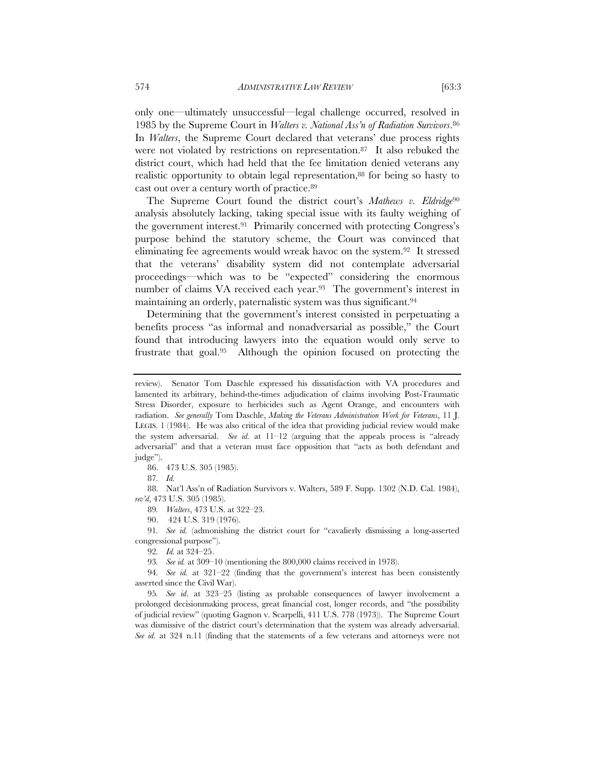only one—ultimately unsuccessful—legal challenge occurred, resolved in 1985 by the Supreme Court in *Walters v. National Ass'n of Radiation Survivors*.86 In *Walters*, the Supreme Court declared that veterans' due process rights were not violated by restrictions on representation.87 It also rebuked the district court, which had held that the fee limitation denied veterans any realistic opportunity to obtain legal representation,<sup>88</sup> for being so hasty to cast out over a century worth of practice.89

The Supreme Court found the district court's *Mathews v. Eldridge*<sup>90</sup> analysis absolutely lacking, taking special issue with its faulty weighing of the government interest.91 Primarily concerned with protecting Congress's purpose behind the statutory scheme, the Court was convinced that eliminating fee agreements would wreak havoc on the system.92 It stressed that the veterans' disability system did not contemplate adversarial proceedings—which was to be "expected" considering the enormous number of claims VA received each year.<sup>93</sup> The government's interest in maintaining an orderly, paternalistic system was thus significant.94

Determining that the government's interest consisted in perpetuating a benefits process "as informal and nonadversarial as possible," the Court found that introducing lawyers into the equation would only serve to frustrate that goal.95 Although the opinion focused on protecting the

86. 473 U.S. 305 (1985).

87*. Id.*

88. Nat'l Ass'n of Radiation Survivors v. Walters, 589 F. Supp. 1302 (N.D. Cal. 1984), *rev'd*, 473 U.S. 305 (1985).

89*. Walters*, 473 U.S. at 322–23.

90. 424 U.S. 319 (1976).

91*. See id.* (admonishing the district court for "cavalierly dismissing a long-asserted congressional purpose").

92*. Id.* at 324–25.

93*. See id.* at 309–10 (mentioning the 800,000 claims received in 1978).

94*. See id.* at 321–22 (finding that the government's interest has been consistently asserted since the Civil War).

95*. See id*. at 323–25 (listing as probable consequences of lawyer involvement a prolonged decisionmaking process, great financial cost, longer records, and "the possibility of judicial review" (quoting Gagnon v. Scarpelli, 411 U.S. 778 (1973)). The Supreme Court was dismissive of the district court's determination that the system was already adversarial. *See id.* at 324 n.11 (finding that the statements of a few veterans and attorneys were not

review). Senator Tom Daschle expressed his dissatisfaction with VA procedures and lamented its arbitrary, behind-the-times adjudication of claims involving Post-Traumatic Stress Disorder, exposure to herbicides such as Agent Orange, and encounters with radiation. *See generally* Tom Daschle, *Making the Veterans Administration Work for Veterans*, 11 J. LEGIS. 1 (1984). He was also critical of the idea that providing judicial review would make the system adversarial. *See id.* at 11–12 (arguing that the appeals process is "already adversarial" and that a veteran must face opposition that "acts as both defendant and judge").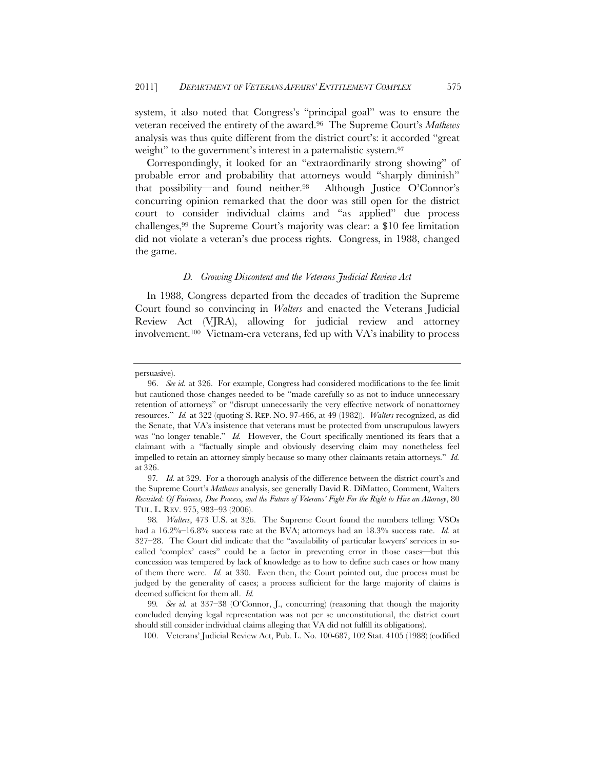system, it also noted that Congress's "principal goal" was to ensure the veteran received the entirety of the award.96 The Supreme Court's *Mathews* analysis was thus quite different from the district court's: it accorded "great weight" to the government's interest in a paternalistic system.<sup>97</sup>

Correspondingly, it looked for an "extraordinarily strong showing" of probable error and probability that attorneys would "sharply diminish" that possibility—and found neither.98 Although Justice O'Connor's concurring opinion remarked that the door was still open for the district court to consider individual claims and "as applied" due process challenges,99 the Supreme Court's majority was clear: a \$10 fee limitation did not violate a veteran's due process rights. Congress, in 1988, changed the game.

#### *D. Growing Discontent and the Veterans Judicial Review Act*

In 1988, Congress departed from the decades of tradition the Supreme Court found so convincing in *Walters* and enacted the Veterans Judicial Review Act (VJRA), allowing for judicial review and attorney involvement.100 Vietnam-era veterans, fed up with VA's inability to process

persuasive).

<sup>96.</sup> *See id.* at 326. For example, Congress had considered modifications to the fee limit but cautioned those changes needed to be "made carefully so as not to induce unnecessary retention of attorneys" or "disrupt unnecessarily the very effective network of nonattorney resources." *Id.* at 322 (quoting S. REP. NO. 97-466, at 49 (1982)). *Walters* recognized, as did the Senate, that VA's insistence that veterans must be protected from unscrupulous lawyers was "no longer tenable." *Id.* However, the Court specifically mentioned its fears that a claimant with a "factually simple and obviously deserving claim may nonetheless feel impelled to retain an attorney simply because so many other claimants retain attorneys." *Id.* at 326.

<sup>97</sup>*. Id.* at 329. For a thorough analysis of the difference between the district court's and the Supreme Court's *Mathews* analysis, see generally David R. DiMatteo, Comment, Walters *Revisited: Of Fairness, Due Process, and the Future of Veterans' Fight For the Right to Hire an Attorney*, 80 TUL. L. REV. 975, 983–93 (2006).

<sup>98</sup>*. Walters*, 473 U.S. at 326. The Supreme Court found the numbers telling: VSOs had a 16.2%–16.8% success rate at the BVA; attorneys had an 18.3% success rate. *Id.* at 327–28. The Court did indicate that the "availability of particular lawyers' services in socalled 'complex' cases" could be a factor in preventing error in those cases—but this concession was tempered by lack of knowledge as to how to define such cases or how many of them there were. *Id.* at 330. Even then, the Court pointed out, due process must be judged by the generality of cases; a process sufficient for the large majority of claims is deemed sufficient for them all. *Id.*

<sup>99</sup>*. See id.* at 337–38 (O'Connor, J., concurring) (reasoning that though the majority concluded denying legal representation was not per se unconstitutional, the district court should still consider individual claims alleging that VA did not fulfill its obligations).

<sup>100.</sup> Veterans' Judicial Review Act, Pub. L. No. 100-687, 102 Stat. 4105 (1988) (codified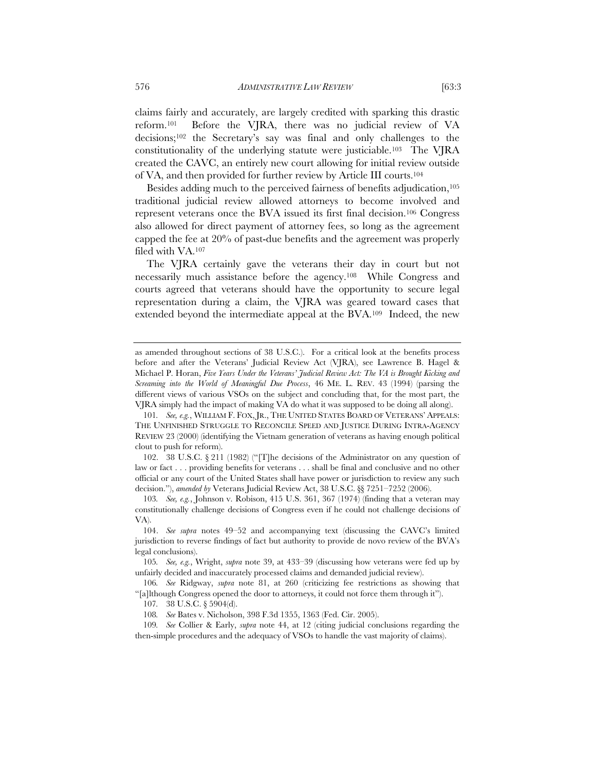claims fairly and accurately, are largely credited with sparking this drastic reform.101 Before the VJRA, there was no judicial review of VA decisions;102 the Secretary's say was final and only challenges to the constitutionality of the underlying statute were justiciable.103 The VJRA created the CAVC, an entirely new court allowing for initial review outside of VA, and then provided for further review by Article III courts.104

Besides adding much to the perceived fairness of benefits adjudication,<sup>105</sup> traditional judicial review allowed attorneys to become involved and represent veterans once the BVA issued its first final decision.106 Congress also allowed for direct payment of attorney fees, so long as the agreement capped the fee at 20% of past-due benefits and the agreement was properly filed with VA.107

The VJRA certainly gave the veterans their day in court but not necessarily much assistance before the agency.108 While Congress and courts agreed that veterans should have the opportunity to secure legal representation during a claim, the VJRA was geared toward cases that extended beyond the intermediate appeal at the BVA.109 Indeed, the new

as amended throughout sections of 38 U.S.C.). For a critical look at the benefits process before and after the Veterans' Judicial Review Act (VJRA), see Lawrence B. Hagel & Michael P. Horan, *Five Years Under the Veterans' Judicial Review Act: The VA is Brought Kicking and Screaming into the World of Meaningful Due Process*, 46 ME. L. REV. 43 (1994) (parsing the different views of various VSOs on the subject and concluding that, for the most part, the VJRA simply had the impact of making VA do what it was supposed to be doing all along).

<sup>101</sup>*. See, e.g.*, WILLIAM F. FOX, JR., THE UNITED STATES BOARD OF VETERANS' APPEALS: THE UNFINISHED STRUGGLE TO RECONCILE SPEED AND JUSTICE DURING INTRA-AGENCY REVIEW 23 (2000) (identifying the Vietnam generation of veterans as having enough political clout to push for reform).

 <sup>102. 38</sup> U.S.C. § 211 (1982) ("[T]he decisions of the Administrator on any question of law or fact . . . providing benefits for veterans . . . shall be final and conclusive and no other official or any court of the United States shall have power or jurisdiction to review any such decision."), *amended by* Veterans Judicial Review Act, 38 U.S.C. §§ 7251–7252 (2006).

<sup>103</sup>*. See, e.g.*, Johnson v. Robison, 415 U.S. 361, 367 (1974) (finding that a veteran may constitutionally challenge decisions of Congress even if he could not challenge decisions of VA).

 <sup>104.</sup> *See supra* notes 49–52 and accompanying text (discussing the CAVC's limited jurisdiction to reverse findings of fact but authority to provide de novo review of the BVA's legal conclusions).

<sup>105</sup>*. See, e.g.*, Wright, *supra* note 39, at 433–39 (discussing how veterans were fed up by unfairly decided and inaccurately processed claims and demanded judicial review).

<sup>106</sup>*. See* Ridgway, *supra* note 81, at 260 (criticizing fee restrictions as showing that "[a]lthough Congress opened the door to attorneys, it could not force them through it").

<sup>107</sup>*.* 38 U.S.C. § 5904(d).

<sup>108</sup>*. See* Bates v. Nicholson, 398 F.3d 1355, 1363 (Fed. Cir. 2005).

<sup>109</sup>*. See* Collier & Early, *supra* note 44, at 12 (citing judicial conclusions regarding the then-simple procedures and the adequacy of VSOs to handle the vast majority of claims).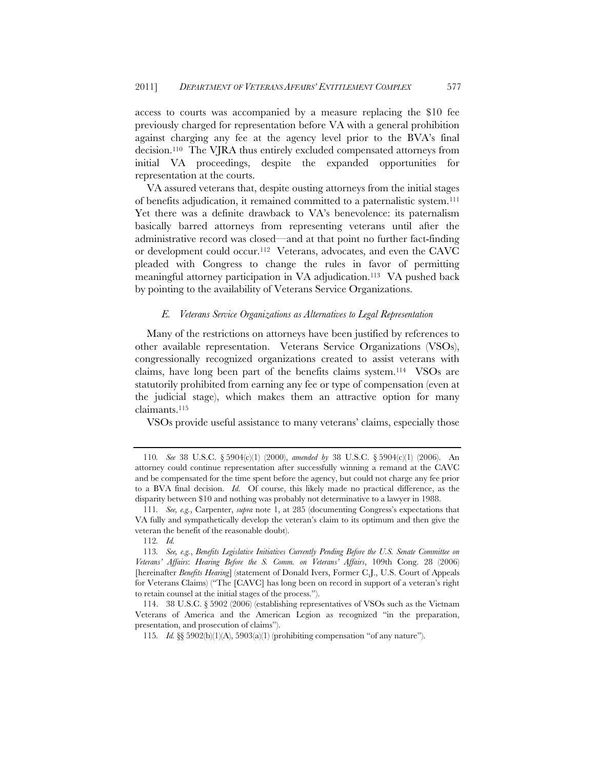access to courts was accompanied by a measure replacing the \$10 fee previously charged for representation before VA with a general prohibition against charging any fee at the agency level prior to the BVA's final decision.110 The VJRA thus entirely excluded compensated attorneys from initial VA proceedings, despite the expanded opportunities for representation at the courts.

VA assured veterans that, despite ousting attorneys from the initial stages of benefits adjudication, it remained committed to a paternalistic system.111 Yet there was a definite drawback to VA's benevolence: its paternalism basically barred attorneys from representing veterans until after the administrative record was closed—and at that point no further fact-finding or development could occur.112 Veterans, advocates, and even the CAVC pleaded with Congress to change the rules in favor of permitting meaningful attorney participation in VA adjudication.<sup>113</sup> VA pushed back by pointing to the availability of Veterans Service Organizations.

#### *E. Veterans Service Organizations as Alternatives to Legal Representation*

Many of the restrictions on attorneys have been justified by references to other available representation. Veterans Service Organizations (VSOs), congressionally recognized organizations created to assist veterans with claims, have long been part of the benefits claims system.114 VSOs are statutorily prohibited from earning any fee or type of compensation (even at the judicial stage), which makes them an attractive option for many claimants.115

VSOs provide useful assistance to many veterans' claims, especially those

<sup>110</sup>*. See* 38 U.S.C. § 5904(c)(1) (2000), *amended by* 38 U.S.C. § 5904(c)(1) (2006). An attorney could continue representation after successfully winning a remand at the CAVC and be compensated for the time spent before the agency, but could not charge any fee prior to a BVA final decision. *Id.* Of course, this likely made no practical difference, as the disparity between \$10 and nothing was probably not determinative to a lawyer in 1988.

<sup>111</sup>*. See, e.g.*, Carpenter, *supra* note 1, at 285 (documenting Congress's expectations that VA fully and sympathetically develop the veteran's claim to its optimum and then give the veteran the benefit of the reasonable doubt).

<sup>112</sup>*. Id.*

<sup>113</sup>*. See, e.g.*, *Benefits Legislative Initiatives Currently Pending Before the U.S. Senate Committee on Veterans' Affairs*: *Hearing Before the S. Comm. on Veterans' Affairs*, 109th Cong. 28 (2006) [hereinafter *Benefits Hearing*] (statement of Donald Ivers, Former C.J., U.S. Court of Appeals for Veterans Claims) ("The [CAVC] has long been on record in support of a veteran's right to retain counsel at the initial stages of the process.").

<sup>114. 38</sup> U.S.C. § 5902 (2006) (establishing representatives of VSOs such as the Vietnam Veterans of America and the American Legion as recognized "in the preparation, presentation, and prosecution of claims").

<sup>115</sup>*. Id.* §§ 5902(b)(1)(A), 5903(a)(1) (prohibiting compensation "of any nature").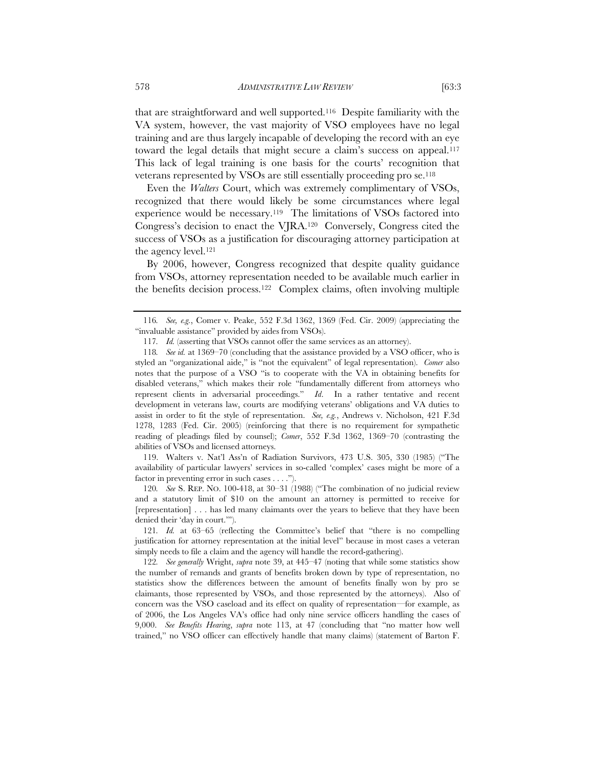that are straightforward and well supported.116 Despite familiarity with the VA system, however, the vast majority of VSO employees have no legal training and are thus largely incapable of developing the record with an eye toward the legal details that might secure a claim's success on appeal.117 This lack of legal training is one basis for the courts' recognition that veterans represented by VSOs are still essentially proceeding pro se.118

Even the *Walters* Court, which was extremely complimentary of VSOs, recognized that there would likely be some circumstances where legal experience would be necessary.119 The limitations of VSOs factored into Congress's decision to enact the VJRA.120 Conversely, Congress cited the success of VSOs as a justification for discouraging attorney participation at the agency level.121

By 2006, however, Congress recognized that despite quality guidance from VSOs, attorney representation needed to be available much earlier in the benefits decision process.122 Complex claims, often involving multiple

 119. Walters v. Nat'l Ass'n of Radiation Survivors, 473 U.S. 305, 330 (1985) ("The availability of particular lawyers' services in so-called 'complex' cases might be more of a factor in preventing error in such cases . . . .").

120*. See* S. REP. NO. 100-418, at 30–31 (1988) ("The combination of no judicial review and a statutory limit of \$10 on the amount an attorney is permitted to receive for [representation] . . . has led many claimants over the years to believe that they have been denied their 'day in court.'").

121*. Id.* at 63–65 (reflecting the Committee's belief that "there is no compelling justification for attorney representation at the initial level" because in most cases a veteran simply needs to file a claim and the agency will handle the record-gathering).

122*. See generally* Wright, *supra* note 39, at 445–47 (noting that while some statistics show the number of remands and grants of benefits broken down by type of representation, no statistics show the differences between the amount of benefits finally won by pro se claimants, those represented by VSOs, and those represented by the attorneys). Also of concern was the VSO caseload and its effect on quality of representation—for example, as of 2006, the Los Angeles VA's office had only nine service officers handling the cases of 9,000. *See Benefits Hearing*, *supra* note 113, at 47 (concluding that "no matter how well trained," no VSO officer can effectively handle that many claims) (statement of Barton F.

<sup>116</sup>*. See, e.g.*, Comer v. Peake, 552 F.3d 1362, 1369 (Fed. Cir. 2009) (appreciating the "invaluable assistance" provided by aides from VSOs).

<sup>117</sup>*. Id.* (asserting that VSOs cannot offer the same services as an attorney).

<sup>118</sup>*. See id.* at 1369–70 (concluding that the assistance provided by a VSO officer, who is styled an "organizational aide," is "not the equivalent" of legal representation). *Comer* also notes that the purpose of a VSO "is to cooperate with the VA in obtaining benefits for disabled veterans," which makes their role "fundamentally different from attorneys who represent clients in adversarial proceedings." *Id*. In a rather tentative and recent development in veterans law, courts are modifying veterans' obligations and VA duties to assist in order to fit the style of representation. *See, e.g.*, Andrews v. Nicholson, 421 F.3d 1278, 1283 (Fed. Cir. 2005) (reinforcing that there is no requirement for sympathetic reading of pleadings filed by counsel); *Comer*, 552 F.3d 1362, 1369–70 (contrasting the abilities of VSOs and licensed attorneys.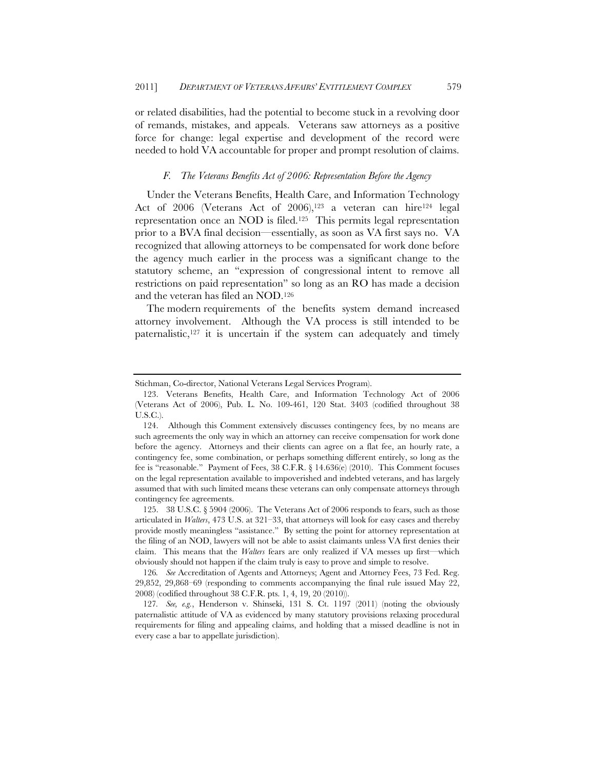or related disabilities, had the potential to become stuck in a revolving door of remands, mistakes, and appeals. Veterans saw attorneys as a positive force for change: legal expertise and development of the record were needed to hold VA accountable for proper and prompt resolution of claims.

#### *F. The Veterans Benefits Act of 2006: Representation Before the Agency*

Under the Veterans Benefits, Health Care, and Information Technology Act of 2006 (Veterans Act of 2006),<sup>123</sup> a veteran can hire<sup>124</sup> legal representation once an NOD is filed.125 This permits legal representation prior to a BVA final decision—essentially, as soon as VA first says no. VA recognized that allowing attorneys to be compensated for work done before the agency much earlier in the process was a significant change to the statutory scheme, an "expression of congressional intent to remove all restrictions on paid representation" so long as an RO has made a decision and the veteran has filed an NOD.126

The modern requirements of the benefits system demand increased attorney involvement. Although the VA process is still intended to be paternalistic, $127$  it is uncertain if the system can adequately and timely

Stichman, Co-director, National Veterans Legal Services Program).

 <sup>123.</sup> Veterans Benefits, Health Care, and Information Technology Act of 2006 (Veterans Act of 2006), Pub. L. No. 109-461, 120 Stat. 3403 (codified throughout 38 U.S.C.).

 <sup>124.</sup> Although this Comment extensively discusses contingency fees, by no means are such agreements the only way in which an attorney can receive compensation for work done before the agency. Attorneys and their clients can agree on a flat fee, an hourly rate, a contingency fee, some combination, or perhaps something different entirely, so long as the fee is "reasonable." Payment of Fees, 38 C.F.R.  $\S$  14.636(e) (2010). This Comment focuses on the legal representation available to impoverished and indebted veterans, and has largely assumed that with such limited means these veterans can only compensate attorneys through contingency fee agreements.

 <sup>125. 38</sup> U.S.C. § 5904 (2006). The Veterans Act of 2006 responds to fears, such as those articulated in *Walters*, 473 U.S. at 321–33, that attorneys will look for easy cases and thereby provide mostly meaningless "assistance." By setting the point for attorney representation at the filing of an NOD, lawyers will not be able to assist claimants unless VA first denies their claim. This means that the *Walters* fears are only realized if VA messes up first—which obviously should not happen if the claim truly is easy to prove and simple to resolve.

<sup>126</sup>*. See* Accreditation of Agents and Attorneys; Agent and Attorney Fees, 73 Fed. Reg. 29,852, 29,868–69 (responding to comments accompanying the final rule issued May 22, 2008) (codified throughout 38 C.F.R. pts. 1, 4, 19, 20 (2010)).

<sup>127</sup>*. See, e.g.*, Henderson v. Shinseki, 131 S. Ct. 1197 (2011) (noting the obviously paternalistic attitude of VA as evidenced by many statutory provisions relaxing procedural requirements for filing and appealing claims, and holding that a missed deadline is not in every case a bar to appellate jurisdiction).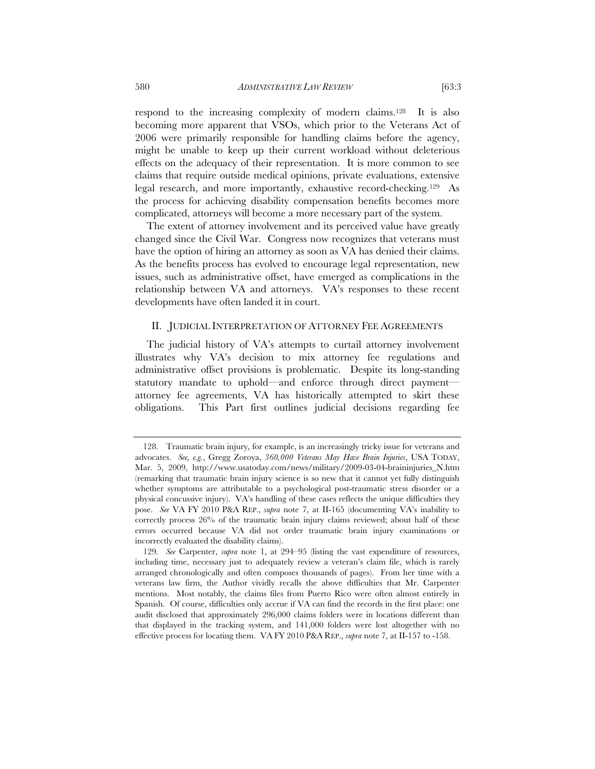respond to the increasing complexity of modern claims.128 It is also becoming more apparent that VSOs, which prior to the Veterans Act of 2006 were primarily responsible for handling claims before the agency, might be unable to keep up their current workload without deleterious effects on the adequacy of their representation. It is more common to see claims that require outside medical opinions, private evaluations, extensive legal research, and more importantly, exhaustive record-checking.129 As the process for achieving disability compensation benefits becomes more complicated, attorneys will become a more necessary part of the system.

The extent of attorney involvement and its perceived value have greatly changed since the Civil War. Congress now recognizes that veterans must have the option of hiring an attorney as soon as VA has denied their claims. As the benefits process has evolved to encourage legal representation, new issues, such as administrative offset, have emerged as complications in the relationship between VA and attorneys. VA's responses to these recent developments have often landed it in court.

# II. JUDICIAL INTERPRETATION OF ATTORNEY FEE AGREEMENTS

The judicial history of VA's attempts to curtail attorney involvement illustrates why VA's decision to mix attorney fee regulations and administrative offset provisions is problematic. Despite its long-standing statutory mandate to uphold—and enforce through direct payment attorney fee agreements, VA has historically attempted to skirt these obligations. This Part first outlines judicial decisions regarding fee

 <sup>128.</sup> Traumatic brain injury, for example, is an increasingly tricky issue for veterans and advocates. *See, e.g.*, Gregg Zoroya, *360,000 Veterans May Have Brain Injuries*, USA TODAY, Mar. 5, 2009, http://www.usatoday.com/news/military/2009-03-04-braininjuries\_N.htm (remarking that traumatic brain injury science is so new that it cannot yet fully distinguish whether symptoms are attributable to a psychological post-traumatic stress disorder or a physical concussive injury). VA's handling of these cases reflects the unique difficulties they pose. *See* VA FY 2010 P&A REP., *supra* note 7, at II-165 (documenting VA's inability to correctly process 26% of the traumatic brain injury claims reviewed; about half of these errors occurred because VA did not order traumatic brain injury examinations or incorrectly evaluated the disability claims).

<sup>129</sup>*. See* Carpenter, *supra* note 1, at 294–95 (listing the vast expenditure of resources, including time, necessary just to adequately review a veteran's claim file, which is rarely arranged chronologically and often composes thousands of pages). From her time with a veterans law firm, the Author vividly recalls the above difficulties that Mr. Carpenter mentions. Most notably, the claims files from Puerto Rico were often almost entirely in Spanish. Of course, difficulties only accrue if VA can find the records in the first place: one audit disclosed that approximately 296,000 claims folders were in locations different than that displayed in the tracking system, and 141,000 folders were lost altogether with no effective process for locating them. VA FY 2010 P&A REP., *supra* note 7, at II-157 to -158.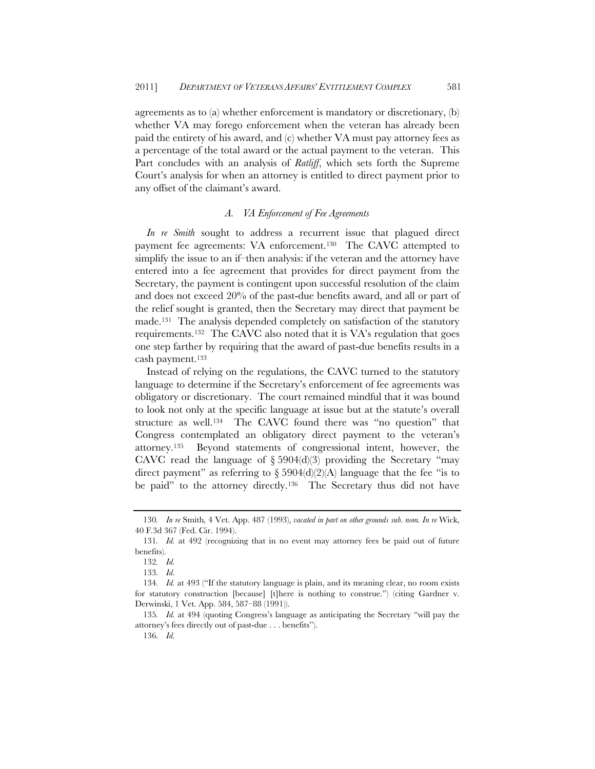agreements as to (a) whether enforcement is mandatory or discretionary, (b) whether VA may forego enforcement when the veteran has already been paid the entirety of his award, and (c) whether VA must pay attorney fees as a percentage of the total award or the actual payment to the veteran. This Part concludes with an analysis of *Ratliff*, which sets forth the Supreme Court's analysis for when an attorney is entitled to direct payment prior to any offset of the claimant's award.

# *A. VA Enforcement of Fee Agreements*

*In re Smith* sought to address a recurrent issue that plagued direct payment fee agreements: VA enforcement.130 The CAVC attempted to simplify the issue to an if–then analysis: if the veteran and the attorney have entered into a fee agreement that provides for direct payment from the Secretary, the payment is contingent upon successful resolution of the claim and does not exceed 20% of the past-due benefits award, and all or part of the relief sought is granted, then the Secretary may direct that payment be made.131 The analysis depended completely on satisfaction of the statutory requirements.132 The CAVC also noted that it is VA's regulation that goes one step farther by requiring that the award of past-due benefits results in a cash payment.133

Instead of relying on the regulations, the CAVC turned to the statutory language to determine if the Secretary's enforcement of fee agreements was obligatory or discretionary. The court remained mindful that it was bound to look not only at the specific language at issue but at the statute's overall structure as well.134 The CAVC found there was "no question" that Congress contemplated an obligatory direct payment to the veteran's attorney.135 Beyond statements of congressional intent, however, the CAVC read the language of  $\S 5904(d)(3)$  providing the Secretary "may direct payment" as referring to  $\S 5904(d)(2)(A)$  language that the fee "is to be paid" to the attorney directly.<sup>136</sup> The Secretary thus did not have

<sup>130</sup>*. In re* Smith*,* 4 Vet. App. 487 (1993), *vacated in part on other grounds sub. nom. In re* Wick, 40 F.3d 367 (Fed. Cir. 1994).

<sup>131</sup>*. Id.* at 492 (recognizing that in no event may attorney fees be paid out of future benefits).

<sup>132</sup>*. Id.*

<sup>133</sup>*. Id*.

<sup>134</sup>*. Id.* at 493 ("If the statutory language is plain, and its meaning clear, no room exists for statutory construction [because] [t]here is nothing to construe.") (citing Gardner v. Derwinski, 1 Vet. App. 584, 587–88 (1991)).

<sup>135</sup>*. Id.* at 494 (quoting Congress's language as anticipating the Secretary "will pay the attorney's fees directly out of past-due . . . benefits").

<sup>136</sup>*. Id.*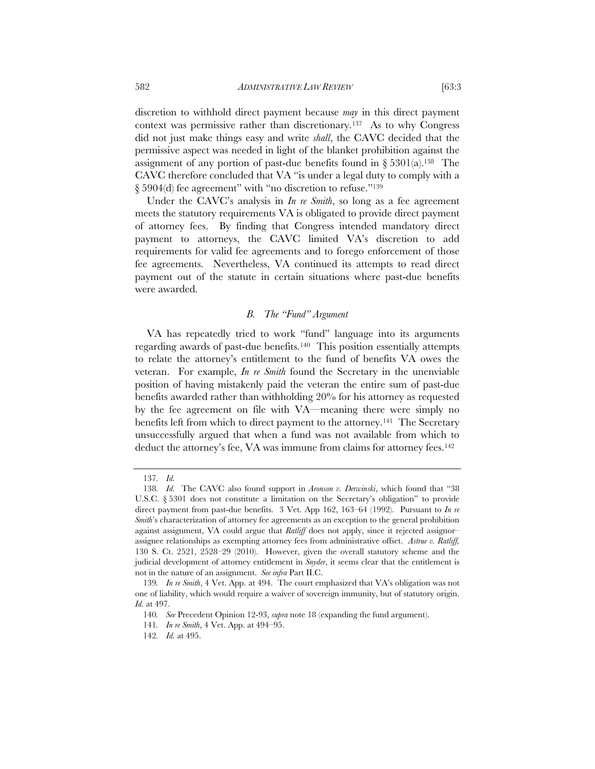discretion to withhold direct payment because *may* in this direct payment context was permissive rather than discretionary.137 As to why Congress did not just make things easy and write *shall*, the CAVC decided that the permissive aspect was needed in light of the blanket prohibition against the assignment of any portion of past-due benefits found in  $\S 5301(a)$ .<sup>138</sup> The CAVC therefore concluded that VA "is under a legal duty to comply with a § 5904(d) fee agreement" with "no discretion to refuse."139

Under the CAVC's analysis in *In re Smith*, so long as a fee agreement meets the statutory requirements VA is obligated to provide direct payment of attorney fees. By finding that Congress intended mandatory direct payment to attorneys, the CAVC limited VA's discretion to add requirements for valid fee agreements and to forego enforcement of those fee agreements. Nevertheless, VA continued its attempts to read direct payment out of the statute in certain situations where past-due benefits were awarded.

#### *B. The "Fund" Argument*

VA has repeatedly tried to work "fund" language into its arguments regarding awards of past-due benefits.140 This position essentially attempts to relate the attorney's entitlement to the fund of benefits VA owes the veteran. For example, *In re Smith* found the Secretary in the unenviable position of having mistakenly paid the veteran the entire sum of past-due benefits awarded rather than withholding 20% for his attorney as requested by the fee agreement on file with VA—meaning there were simply no benefits left from which to direct payment to the attorney.141 The Secretary unsuccessfully argued that when a fund was not available from which to deduct the attorney's fee, VA was immune from claims for attorney fees.<sup>142</sup>

<sup>137</sup>*. Id.*

<sup>138</sup>*. Id.* The CAVC also found support in *Aronson v. Derwinski*, which found that "38 U.S.C. § 5301 does not constitute a limitation on the Secretary's obligation" to provide direct payment from past-due benefits. 3 Vet. App 162, 163–64 (1992). Pursuant to *In re Smith*'s characterization of attorney fee agreements as an exception to the general prohibition against assignment, VA could argue that *Ratliff* does not apply, since it rejected assignor– assignee relationships as exempting attorney fees from administrative offset. *Astrue v. Ratliff,* 130 S. Ct. 2521, 2528–29 (2010). However, given the overall statutory scheme and the judicial development of attorney entitlement in *Snyder*, it seems clear that the entitlement is not in the nature of an assignment. *See infra* Part II.C.

<sup>139</sup>*. In re Smith*, 4 Vet. App. at 494. The court emphasized that VA's obligation was not one of liability, which would require a waiver of sovereign immunity, but of statutory origin. *Id.* at 497.

<sup>140</sup>*. See* Precedent Opinion 12-93, *supra* note 18 (expanding the fund argument).

<sup>141</sup>*. In re Smith*, 4 Vet. App. at 494–95.

<sup>142</sup>*. Id.* at 495.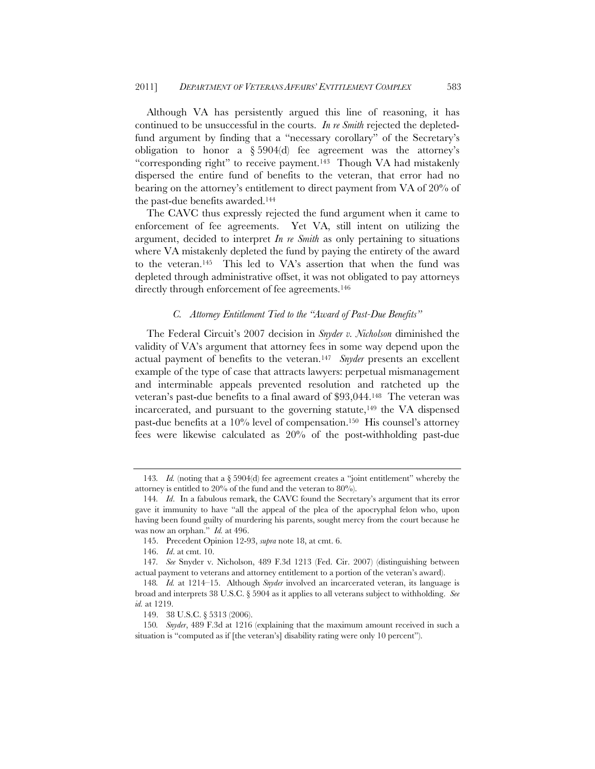Although VA has persistently argued this line of reasoning, it has continued to be unsuccessful in the courts. *In re Smith* rejected the depletedfund argument by finding that a "necessary corollary" of the Secretary's obligation to honor a  $\S 5904(d)$  fee agreement was the attorney's "corresponding right" to receive payment.143 Though VA had mistakenly dispersed the entire fund of benefits to the veteran, that error had no bearing on the attorney's entitlement to direct payment from VA of 20% of the past-due benefits awarded.144

The CAVC thus expressly rejected the fund argument when it came to enforcement of fee agreements. Yet VA, still intent on utilizing the argument, decided to interpret *In re Smith* as only pertaining to situations where VA mistakenly depleted the fund by paying the entirety of the award to the veteran.145 This led to VA's assertion that when the fund was depleted through administrative offset, it was not obligated to pay attorneys directly through enforcement of fee agreements.<sup>146</sup>

# *C. Attorney Entitlement Tied to the "Award of Past-Due Benefits"*

The Federal Circuit's 2007 decision in *Snyder v. Nicholson* diminished the validity of VA's argument that attorney fees in some way depend upon the actual payment of benefits to the veteran.147 *Snyder* presents an excellent example of the type of case that attracts lawyers: perpetual mismanagement and interminable appeals prevented resolution and ratcheted up the veteran's past-due benefits to a final award of \$93,044.148 The veteran was incarcerated, and pursuant to the governing statute,  $149$  the VA dispensed past-due benefits at a 10% level of compensation.150 His counsel's attorney fees were likewise calculated as 20% of the post-withholding past-due

<sup>143</sup>*. Id.* (noting that a § 5904(d) fee agreement creates a "joint entitlement" whereby the attorney is entitled to 20% of the fund and the veteran to 80%).

<sup>144</sup>*. Id*. In a fabulous remark, the CAVC found the Secretary's argument that its error gave it immunity to have "all the appeal of the plea of the apocryphal felon who, upon having been found guilty of murdering his parents, sought mercy from the court because he was now an orphan." *Id.* at 496.

<sup>145.</sup> Precedent Opinion 12-93, *supra* note 18, at cmt. 6.

 <sup>146.</sup> *Id*. at cmt. 10.

<sup>147</sup>*. See* Snyder v. Nicholson, 489 F.3d 1213 (Fed. Cir. 2007) (distinguishing between actual payment to veterans and attorney entitlement to a portion of the veteran's award).

<sup>148</sup>*. Id.* at 1214–15. Although *Snyder* involved an incarcerated veteran, its language is broad and interprets 38 U.S.C. § 5904 as it applies to all veterans subject to withholding. *See id.* at 1219.

<sup>149. 38</sup> U.S.C. § 5313 (2006).

<sup>150</sup>*. Snyder*, 489 F.3d at 1216 (explaining that the maximum amount received in such a situation is "computed as if [the veteran's] disability rating were only 10 percent").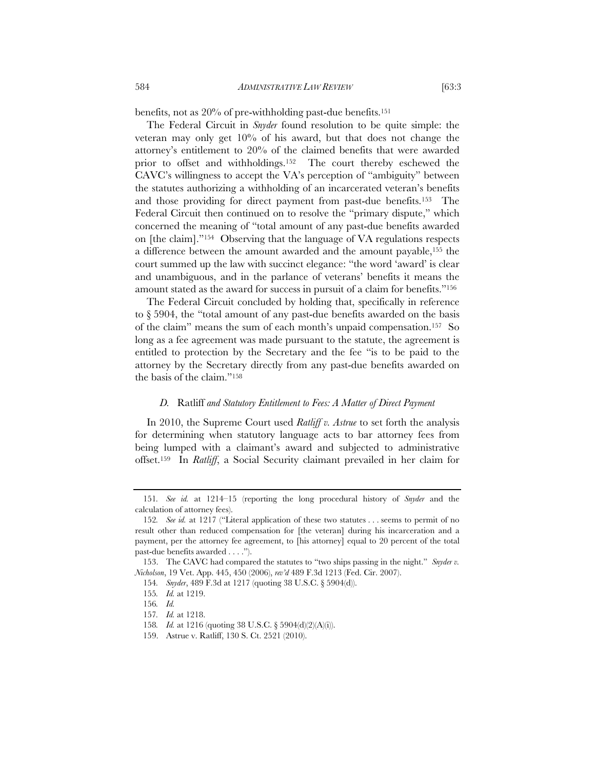benefits, not as 20% of pre-withholding past-due benefits.151

The Federal Circuit in *Snyder* found resolution to be quite simple: the veteran may only get 10% of his award, but that does not change the attorney's entitlement to 20% of the claimed benefits that were awarded prior to offset and withholdings.152 The court thereby eschewed the CAVC's willingness to accept the VA's perception of "ambiguity" between the statutes authorizing a withholding of an incarcerated veteran's benefits and those providing for direct payment from past-due benefits.153 The Federal Circuit then continued on to resolve the "primary dispute," which concerned the meaning of "total amount of any past-due benefits awarded on [the claim]."154 Observing that the language of VA regulations respects a difference between the amount awarded and the amount payable,155 the court summed up the law with succinct elegance: "the word 'award' is clear and unambiguous, and in the parlance of veterans' benefits it means the amount stated as the award for success in pursuit of a claim for benefits."156

The Federal Circuit concluded by holding that, specifically in reference to § 5904, the "total amount of any past-due benefits awarded on the basis of the claim" means the sum of each month's unpaid compensation.157 So long as a fee agreement was made pursuant to the statute, the agreement is entitled to protection by the Secretary and the fee "is to be paid to the attorney by the Secretary directly from any past-due benefits awarded on the basis of the claim."158

#### *D.* Ratliff *and Statutory Entitlement to Fees: A Matter of Direct Payment*

In 2010, the Supreme Court used *Ratliff v. Astrue* to set forth the analysis for determining when statutory language acts to bar attorney fees from being lumped with a claimant's award and subjected to administrative offset.159 In *Ratliff*, a Social Security claimant prevailed in her claim for

<sup>151</sup>*. See id.* at 1214–15 (reporting the long procedural history of *Snyder* and the calculation of attorney fees).

<sup>152</sup>*. See id.* at 1217 ("Literal application of these two statutes . . . seems to permit of no result other than reduced compensation for [the veteran] during his incarceration and a payment, per the attorney fee agreement, to [his attorney] equal to 20 percent of the total past-due benefits awarded . . . .").

 <sup>153.</sup> The CAVC had compared the statutes to "two ships passing in the night." *Snyder v. Nicholson*, 19 Vet. App. 445, 450 (2006), *rev'd* 489 F.3d 1213 (Fed. Cir. 2007).

<sup>154</sup>*. Snyder*, 489 F.3d at 1217 (quoting 38 U.S.C. § 5904(d)).

<sup>155</sup>*. Id.* at 1219.

<sup>156</sup>*. Id.*

<sup>157</sup>*. Id.* at 1218.

<sup>158</sup>*. Id.* at 1216 (quoting 38 U.S.C. § 5904(d)(2)(A)(i)).

<sup>159.</sup> Astrue v. Ratliff, 130 S. Ct. 2521 (2010).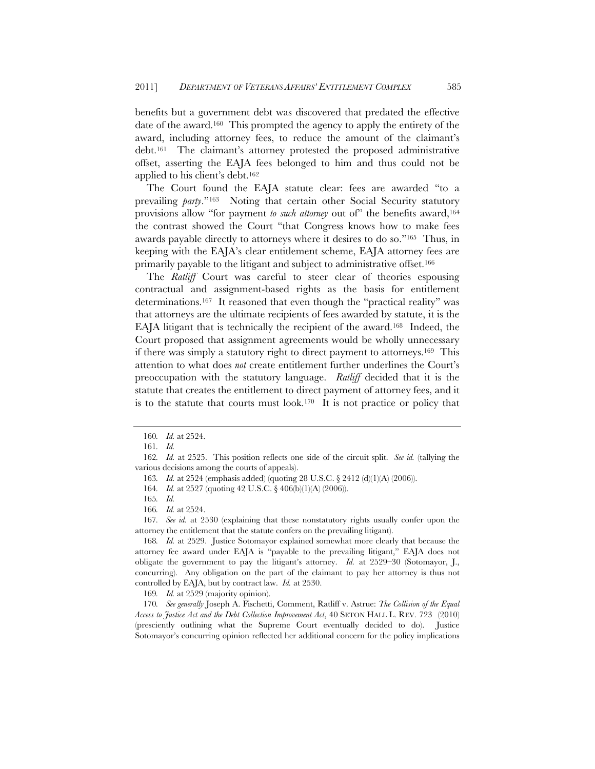benefits but a government debt was discovered that predated the effective date of the award.160 This prompted the agency to apply the entirety of the award, including attorney fees, to reduce the amount of the claimant's debt.161 The claimant's attorney protested the proposed administrative offset, asserting the EAJA fees belonged to him and thus could not be applied to his client's debt.162

The Court found the EAJA statute clear: fees are awarded "to a prevailing *party*."163 Noting that certain other Social Security statutory provisions allow "for payment *to such attorney* out of" the benefits award,<sup>164</sup> the contrast showed the Court "that Congress knows how to make fees awards payable directly to attorneys where it desires to do so."165 Thus, in keeping with the EAJA's clear entitlement scheme, EAJA attorney fees are primarily payable to the litigant and subject to administrative offset.166

The *Ratliff* Court was careful to steer clear of theories espousing contractual and assignment-based rights as the basis for entitlement determinations.167 It reasoned that even though the "practical reality" was that attorneys are the ultimate recipients of fees awarded by statute, it is the EAJA litigant that is technically the recipient of the award.168 Indeed, the Court proposed that assignment agreements would be wholly unnecessary if there was simply a statutory right to direct payment to attorneys.169 This attention to what does *not* create entitlement further underlines the Court's preoccupation with the statutory language. *Ratliff* decided that it is the statute that creates the entitlement to direct payment of attorney fees, and it is to the statute that courts must look.170 It is not practice or policy that

167*. See id.* at 2530 (explaining that these nonstatutory rights usually confer upon the attorney the entitlement that the statute confers on the prevailing litigant).

168*. Id.* at 2529. Justice Sotomayor explained somewhat more clearly that because the attorney fee award under EAJA is "payable to the prevailing litigant," EAJA does not obligate the government to pay the litigant's attorney. *Id.* at 2529–30 (Sotomayor, J., concurring). Any obligation on the part of the claimant to pay her attorney is thus not controlled by EAJA, but by contract law. *Id.* at 2530.

169*. Id.* at 2529 (majority opinion).

170*. See generally* Joseph A. Fischetti, Comment, Ratliff v. Astrue: *The Collision of the Equal Access to Justice Act and the Debt Collection Improvement Act*, 40 SETON HALL L. REV. 723 (2010) (presciently outlining what the Supreme Court eventually decided to do). Justice Sotomayor's concurring opinion reflected her additional concern for the policy implications

<sup>160</sup>*. Id.* at 2524.

<sup>161</sup>*. Id.*

<sup>162</sup>*. Id.* at 2525. This position reflects one side of the circuit split. *See id.* (tallying the various decisions among the courts of appeals).

<sup>163</sup>*. Id.* at 2524 (emphasis added) (quoting 28 U.S.C. § 2412 (d)(1)(A) (2006)).

<sup>164</sup>*. Id.* at 2527 (quoting 42 U.S.C. § 406(b)(1)(A) (2006)).

<sup>165</sup>*. Id.*

<sup>166</sup>*. Id.* at 2524.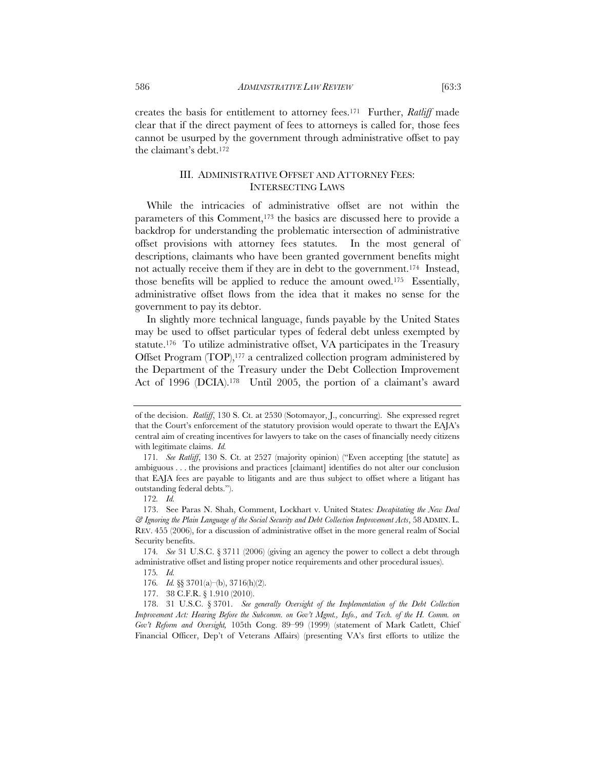creates the basis for entitlement to attorney fees.171 Further, *Ratliff* made clear that if the direct payment of fees to attorneys is called for, those fees cannot be usurped by the government through administrative offset to pay the claimant's debt.172

# III. ADMINISTRATIVE OFFSET AND ATTORNEY FEES: INTERSECTING LAWS

While the intricacies of administrative offset are not within the parameters of this Comment,173 the basics are discussed here to provide a backdrop for understanding the problematic intersection of administrative offset provisions with attorney fees statutes. In the most general of descriptions, claimants who have been granted government benefits might not actually receive them if they are in debt to the government.174 Instead, those benefits will be applied to reduce the amount owed.175 Essentially, administrative offset flows from the idea that it makes no sense for the government to pay its debtor.

In slightly more technical language, funds payable by the United States may be used to offset particular types of federal debt unless exempted by statute.176 To utilize administrative offset, VA participates in the Treasury Offset Program (TOP),<sup>177</sup> a centralized collection program administered by the Department of the Treasury under the Debt Collection Improvement Act of 1996 (DCIA).178 Until 2005, the portion of a claimant's award

of the decision. *Ratliff*, 130 S. Ct. at 2530 (Sotomayor, J., concurring). She expressed regret that the Court's enforcement of the statutory provision would operate to thwart the EAJA's central aim of creating incentives for lawyers to take on the cases of financially needy citizens with legitimate claims. *Id.*

<sup>171</sup>*. See Ratliff*, 130 S. Ct. at 2527 (majority opinion) ("Even accepting [the statute] as ambiguous . . . the provisions and practices [claimant] identifies do not alter our conclusion that EAJA fees are payable to litigants and are thus subject to offset where a litigant has outstanding federal debts.").

<sup>172</sup>*. Id.*

 <sup>173.</sup> See Paras N. Shah, Comment, Lockhart v. United States*: Decapitating the New Deal & Ignoring the Plain Language of the Social Security and Debt Collection Improvement Acts*, 58 ADMIN. L. REV. 455 (2006), for a discussion of administrative offset in the more general realm of Social Security benefits.

<sup>174</sup>*. See* 31 U.S.C. § 3711 (2006) (giving an agency the power to collect a debt through administrative offset and listing proper notice requirements and other procedural issues).

<sup>175</sup>*. Id.*

<sup>176</sup>*. Id.* §§ 3701(a)–(b), 3716(h)(2).

<sup>177. 38</sup> C.F.R. § 1.910 (2010).

<sup>178. 31</sup> U.S.C. § 3701. *See generally Oversight of the Implementation of the Debt Collection Improvement Act: Hearing Before the Subcomm. on Gov't Mgmt., Info., and Tech. of the H. Comm. on Gov't Reform and Oversight,* 105th Cong. 89–99 (1999) (statement of Mark Catlett, Chief Financial Officer, Dep't of Veterans Affairs) (presenting VA's first efforts to utilize the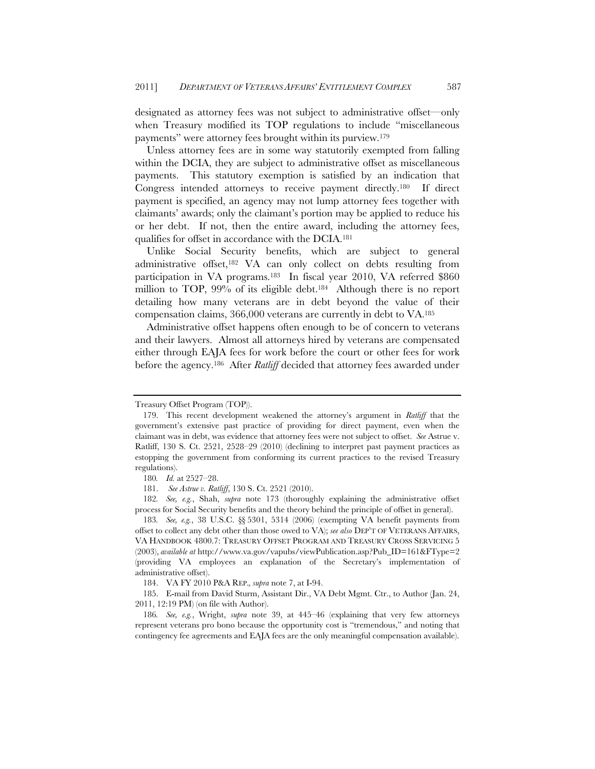designated as attorney fees was not subject to administrative offset—only when Treasury modified its TOP regulations to include "miscellaneous payments" were attorney fees brought within its purview.179

Unless attorney fees are in some way statutorily exempted from falling within the DCIA, they are subject to administrative offset as miscellaneous payments. This statutory exemption is satisfied by an indication that Congress intended attorneys to receive payment directly.180 If direct payment is specified, an agency may not lump attorney fees together with claimants' awards; only the claimant's portion may be applied to reduce his or her debt. If not, then the entire award, including the attorney fees, qualifies for offset in accordance with the DCIA.181

Unlike Social Security benefits, which are subject to general administrative offset,182 VA can only collect on debts resulting from participation in VA programs.183 In fiscal year 2010, VA referred \$860 million to TOP, 99% of its eligible debt.<sup>184</sup> Although there is no report detailing how many veterans are in debt beyond the value of their compensation claims, 366,000 veterans are currently in debt to VA.185

Administrative offset happens often enough to be of concern to veterans and their lawyers. Almost all attorneys hired by veterans are compensated either through EAJA fees for work before the court or other fees for work before the agency.186 After *Ratliff* decided that attorney fees awarded under

182*. See, e.g.*, Shah, *supra* note 173 (thoroughly explaining the administrative offset process for Social Security benefits and the theory behind the principle of offset in general).

183*. See, e.g.*, 38 U.S.C. §§ 5301, 5314 (2006) (exempting VA benefit payments from offset to collect any debt other than those owed to VA); *see also* DEP'T OF VETERANS AFFAIRS, VA HANDBOOK 4800.7: TREASURY OFFSET PROGRAM AND TREASURY CROSS SERVICING 5 (2003), *available at* http://www.va.gov/vapubs/viewPublication.asp?Pub\_ID=161&FType=2 (providing VA employees an explanation of the Secretary's implementation of administrative offset).

184. VA FY 2010 P&A REP.*, supra* note 7, at I-94.

Treasury Offset Program (TOP)).

 <sup>179.</sup> This recent development weakened the attorney's argument in *Ratliff* that the government's extensive past practice of providing for direct payment, even when the claimant was in debt, was evidence that attorney fees were not subject to offset. *See* Astrue v. Ratliff, 130 S. Ct. 2521, 2528–29 (2010) (declining to interpret past payment practices as estopping the government from conforming its current practices to the revised Treasury regulations).

<sup>180</sup>*. Id.* at 2527–28.

 <sup>181.</sup> *See Astrue v. Ratliff*, 130 S. Ct. 2521 (2010).

 <sup>185.</sup> E-mail from David Sturm, Assistant Dir., VA Debt Mgmt. Ctr., to Author (Jan. 24, 2011, 12:19 PM) (on file with Author).

<sup>186</sup>*. See, e.g.*, Wright, *supra* note 39, at 445–46 (explaining that very few attorneys represent veterans pro bono because the opportunity cost is "tremendous," and noting that contingency fee agreements and EAJA fees are the only meaningful compensation available).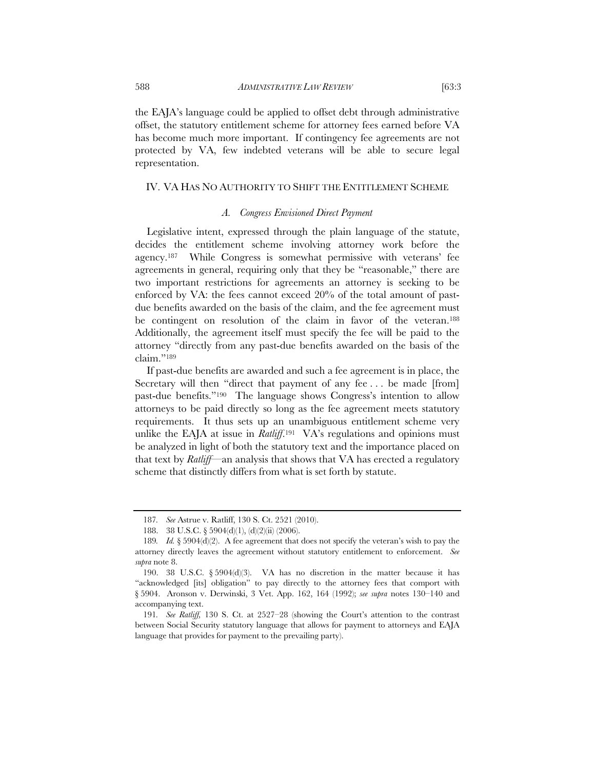the EAJA's language could be applied to offset debt through administrative offset, the statutory entitlement scheme for attorney fees earned before VA has become much more important. If contingency fee agreements are not protected by VA, few indebted veterans will be able to secure legal representation.

# IV. VA HAS NO AUTHORITY TO SHIFT THE ENTITLEMENT SCHEME

# *A. Congress Envisioned Direct Payment*

Legislative intent, expressed through the plain language of the statute, decides the entitlement scheme involving attorney work before the agency.187 While Congress is somewhat permissive with veterans' fee agreements in general, requiring only that they be "reasonable," there are two important restrictions for agreements an attorney is seeking to be enforced by VA: the fees cannot exceed 20% of the total amount of pastdue benefits awarded on the basis of the claim, and the fee agreement must be contingent on resolution of the claim in favor of the veteran.188 Additionally, the agreement itself must specify the fee will be paid to the attorney "directly from any past-due benefits awarded on the basis of the claim."189

If past-due benefits are awarded and such a fee agreement is in place, the Secretary will then "direct that payment of any fee . . . be made [from] past-due benefits."190 The language shows Congress's intention to allow attorneys to be paid directly so long as the fee agreement meets statutory requirements. It thus sets up an unambiguous entitlement scheme very unlike the EAJA at issue in *Ratliff*.<sup>191</sup> VA's regulations and opinions must be analyzed in light of both the statutory text and the importance placed on that text by *Ratliff*—an analysis that shows that VA has erected a regulatory scheme that distinctly differs from what is set forth by statute.

<sup>187</sup>*. See* Astrue v. Ratliff, 130 S. Ct. 2521 (2010).

<sup>188. 38</sup> U.S.C. § 5904(d)(1), (d)(2)(ii) (2006).

<sup>189</sup>*. Id.* § 5904(d)(2). A fee agreement that does not specify the veteran's wish to pay the attorney directly leaves the agreement without statutory entitlement to enforcement. *See supra* note 8.

 <sup>190. 38</sup> U.S.C. § 5904(d)(3). VA has no discretion in the matter because it has "acknowledged [its] obligation" to pay directly to the attorney fees that comport with § 5904. Aronson v. Derwinski, 3 Vet. App. 162, 164 (1992); *see supra* notes 130–140 and accompanying text.

<sup>191</sup>*. See Ratliff,* 130 S. Ct. at 2527–28 (showing the Court's attention to the contrast between Social Security statutory language that allows for payment to attorneys and EAJA language that provides for payment to the prevailing party).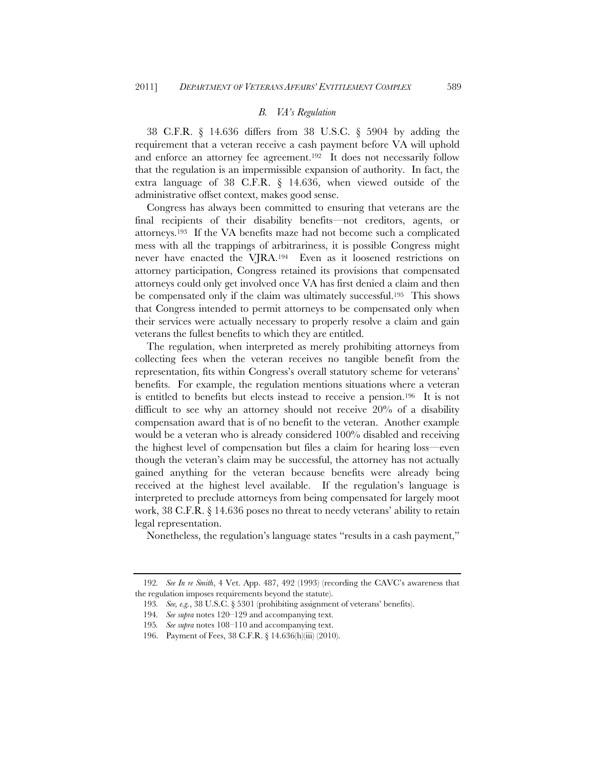### *B. VA's Regulation*

38 C.F.R. § 14.636 differs from 38 U.S.C. § 5904 by adding the requirement that a veteran receive a cash payment before VA will uphold and enforce an attorney fee agreement.192 It does not necessarily follow that the regulation is an impermissible expansion of authority. In fact, the extra language of 38 C.F.R. § 14.636, when viewed outside of the administrative offset context, makes good sense.

Congress has always been committed to ensuring that veterans are the final recipients of their disability benefits—not creditors, agents, or attorneys.193 If the VA benefits maze had not become such a complicated mess with all the trappings of arbitrariness, it is possible Congress might never have enacted the VJRA.194 Even as it loosened restrictions on attorney participation, Congress retained its provisions that compensated attorneys could only get involved once VA has first denied a claim and then be compensated only if the claim was ultimately successful.195 This shows that Congress intended to permit attorneys to be compensated only when their services were actually necessary to properly resolve a claim and gain veterans the fullest benefits to which they are entitled.

The regulation, when interpreted as merely prohibiting attorneys from collecting fees when the veteran receives no tangible benefit from the representation, fits within Congress's overall statutory scheme for veterans' benefits. For example, the regulation mentions situations where a veteran is entitled to benefits but elects instead to receive a pension.196 It is not difficult to see why an attorney should not receive 20% of a disability compensation award that is of no benefit to the veteran. Another example would be a veteran who is already considered 100% disabled and receiving the highest level of compensation but files a claim for hearing loss—even though the veteran's claim may be successful, the attorney has not actually gained anything for the veteran because benefits were already being received at the highest level available. If the regulation's language is interpreted to preclude attorneys from being compensated for largely moot work, 38 C.F.R. § 14.636 poses no threat to needy veterans' ability to retain legal representation.

Nonetheless, the regulation's language states "results in a cash payment,"

<sup>192</sup>*. See In re Smith*, 4 Vet. App. 487, 492 (1993) (recording the CAVC's awareness that the regulation imposes requirements beyond the statute).

<sup>193</sup>*. See, e.g.*, 38 U.S.C. § 5301 (prohibiting assignment of veterans' benefits).

<sup>194</sup>*. See supra* notes 120–129 and accompanying text.

<sup>195</sup>*. See supra* notes 108–110 and accompanying text.

<sup>196.</sup> Payment of Fees, 38 C.F.R. § 14.636(h)(iii) (2010).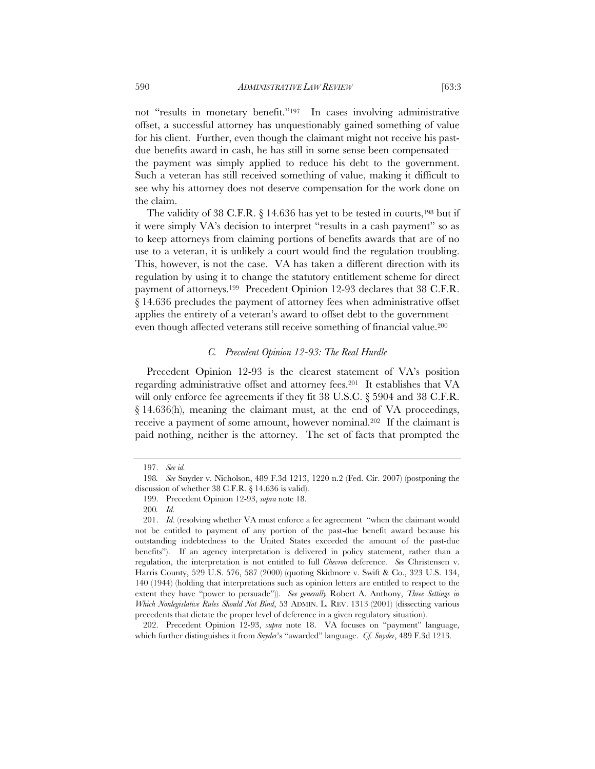not "results in monetary benefit."197 In cases involving administrative offset, a successful attorney has unquestionably gained something of value for his client. Further, even though the claimant might not receive his pastdue benefits award in cash, he has still in some sense been compensated the payment was simply applied to reduce his debt to the government. Such a veteran has still received something of value, making it difficult to see why his attorney does not deserve compensation for the work done on the claim.

The validity of 38 C.F.R. § 14.636 has yet to be tested in courts,<sup>198</sup> but if it were simply VA's decision to interpret "results in a cash payment" so as to keep attorneys from claiming portions of benefits awards that are of no use to a veteran, it is unlikely a court would find the regulation troubling. This, however, is not the case. VA has taken a different direction with its regulation by using it to change the statutory entitlement scheme for direct payment of attorneys.199 Precedent Opinion 12-93 declares that 38 C.F.R. § 14.636 precludes the payment of attorney fees when administrative offset applies the entirety of a veteran's award to offset debt to the government even though affected veterans still receive something of financial value.200

# *C. Precedent Opinion 12-93: The Real Hurdle*

Precedent Opinion 12-93 is the clearest statement of VA's position regarding administrative offset and attorney fees.201 It establishes that VA will only enforce fee agreements if they fit 38 U.S.C. § 5904 and 38 C.F.R. § 14.636(h), meaning the claimant must, at the end of VA proceedings, receive a payment of some amount, however nominal.202 If the claimant is paid nothing, neither is the attorney. The set of facts that prompted the

 202. Precedent Opinion 12-93, *supra* note 18. VA focuses on "payment" language, which further distinguishes it from *Snyder*'s "awarded" language. *Cf. Snyder*, 489 F.3d 1213.

 <sup>197.</sup> *See id.*

<sup>198</sup>*. See* Snyder v. Nicholson, 489 F.3d 1213, 1220 n.2 (Fed. Cir. 2007) (postponing the discussion of whether 38 C.F.R. § 14.636 is valid).

<sup>199.</sup> Precedent Opinion 12-93, *supra* note 18.

<sup>200</sup>*. Id.*

 <sup>201.</sup> *Id.* (resolving whether VA must enforce a fee agreement "when the claimant would not be entitled to payment of any portion of the past-due benefit award because his outstanding indebtedness to the United States exceeded the amount of the past-due benefits"). If an agency interpretation is delivered in policy statement, rather than a regulation, the interpretation is not entitled to full *Chevron* deference. *See* Christensen v. Harris County, 529 U.S. 576, 587 (2000) (quoting Skidmore v. Swift & Co., 323 U.S. 134, 140 (1944) (holding that interpretations such as opinion letters are entitled to respect to the extent they have "power to persuade")). *See generally* Robert A. Anthony, *Three Settings in Which Nonlegislative Rules Should Not Bind*, 53 ADMIN. L. REV. 1313 (2001) (dissecting various precedents that dictate the proper level of deference in a given regulatory situation).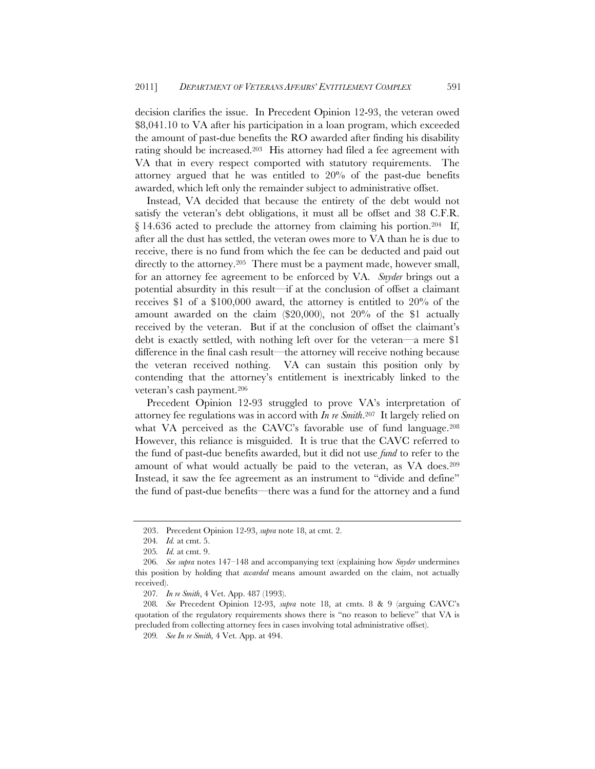decision clarifies the issue. In Precedent Opinion 12-93, the veteran owed \$8,041.10 to VA after his participation in a loan program, which exceeded the amount of past-due benefits the RO awarded after finding his disability rating should be increased.203 His attorney had filed a fee agreement with VA that in every respect comported with statutory requirements. The attorney argued that he was entitled to 20% of the past-due benefits awarded, which left only the remainder subject to administrative offset.

Instead, VA decided that because the entirety of the debt would not satisfy the veteran's debt obligations, it must all be offset and 38 C.F.R.  $\S 14.636$  acted to preclude the attorney from claiming his portion.<sup>204</sup> If, after all the dust has settled, the veteran owes more to VA than he is due to receive, there is no fund from which the fee can be deducted and paid out directly to the attorney.<sup>205</sup> There must be a payment made, however small, for an attorney fee agreement to be enforced by VA. *Snyder* brings out a potential absurdity in this result—if at the conclusion of offset a claimant receives \$1 of a \$100,000 award, the attorney is entitled to 20% of the amount awarded on the claim (\$20,000), not 20% of the \$1 actually received by the veteran. But if at the conclusion of offset the claimant's debt is exactly settled, with nothing left over for the veteran—a mere \$1 difference in the final cash result—the attorney will receive nothing because the veteran received nothing. VA can sustain this position only by contending that the attorney's entitlement is inextricably linked to the veteran's cash payment.206

Precedent Opinion 12-93 struggled to prove VA's interpretation of attorney fee regulations was in accord with *In re Smith*.207 It largely relied on what VA perceived as the CAVC's favorable use of fund language.<sup>208</sup> However, this reliance is misguided. It is true that the CAVC referred to the fund of past-due benefits awarded, but it did not use *fund* to refer to the amount of what would actually be paid to the veteran, as VA does.209 Instead, it saw the fee agreement as an instrument to "divide and define" the fund of past-due benefits—there was a fund for the attorney and a fund

<sup>203.</sup> Precedent Opinion 12-93, *supra* note 18, at cmt. 2.

<sup>204</sup>*. Id.* at cmt. 5.

<sup>205</sup>*. Id.* at cmt. 9.

<sup>206</sup>*. See supra* notes 147–148 and accompanying text (explaining how *Snyder* undermines this position by holding that *awarded* means amount awarded on the claim, not actually received).

<sup>207</sup>*. In re Smith*, 4 Vet. App. 487 (1993).

<sup>208</sup>*. See* Precedent Opinion 12-93, *supra* note 18, at cmts. 8 & 9 (arguing CAVC's quotation of the regulatory requirements shows there is "no reason to believe" that VA is precluded from collecting attorney fees in cases involving total administrative offset).

<sup>209</sup>*. See In re Smith,* 4 Vet. App. at 494.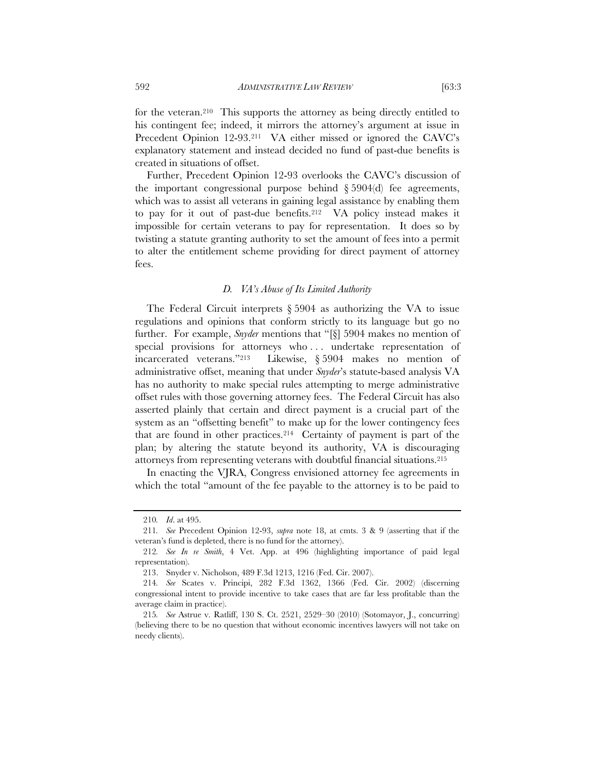for the veteran.210 This supports the attorney as being directly entitled to his contingent fee; indeed, it mirrors the attorney's argument at issue in Precedent Opinion 12-93.<sup>211</sup> VA either missed or ignored the CAVC's explanatory statement and instead decided no fund of past-due benefits is created in situations of offset.

Further, Precedent Opinion 12-93 overlooks the CAVC's discussion of the important congressional purpose behind  $\S 5904(d)$  fee agreements, which was to assist all veterans in gaining legal assistance by enabling them to pay for it out of past-due benefits.212 VA policy instead makes it impossible for certain veterans to pay for representation. It does so by twisting a statute granting authority to set the amount of fees into a permit to alter the entitlement scheme providing for direct payment of attorney fees.

#### *D. VA's Abuse of Its Limited Authority*

The Federal Circuit interprets  $\S 5904$  as authorizing the VA to issue regulations and opinions that conform strictly to its language but go no further. For example, *Snyder* mentions that "[§] 5904 makes no mention of special provisions for attorneys who . . . undertake representation of incarcerated veterans."213 Likewise, § 5904 makes no mention of administrative offset, meaning that under *Snyder*'s statute-based analysis VA has no authority to make special rules attempting to merge administrative offset rules with those governing attorney fees. The Federal Circuit has also asserted plainly that certain and direct payment is a crucial part of the system as an "offsetting benefit" to make up for the lower contingency fees that are found in other practices.214 Certainty of payment is part of the plan; by altering the statute beyond its authority, VA is discouraging attorneys from representing veterans with doubtful financial situations.215

In enacting the VJRA, Congress envisioned attorney fee agreements in which the total "amount of the fee payable to the attorney is to be paid to

<sup>210</sup>*. Id*. at 495.

<sup>211</sup>*. See* Precedent Opinion 12-93, *supra* note 18, at cmts. 3 & 9 (asserting that if the veteran's fund is depleted, there is no fund for the attorney).

<sup>212</sup>*. See In re Smith*, 4 Vet. App. at 496 (highlighting importance of paid legal representation).

<sup>213.</sup> Snyder v. Nicholson, 489 F.3d 1213, 1216 (Fed. Cir. 2007).

<sup>214</sup>*. See* Scates v. Principi, 282 F.3d 1362, 1366 (Fed. Cir. 2002) (discerning congressional intent to provide incentive to take cases that are far less profitable than the average claim in practice).

<sup>215</sup>*. See* Astrue v. Ratliff, 130 S. Ct. 2521, 2529–30 (2010) (Sotomayor, J., concurring) (believing there to be no question that without economic incentives lawyers will not take on needy clients).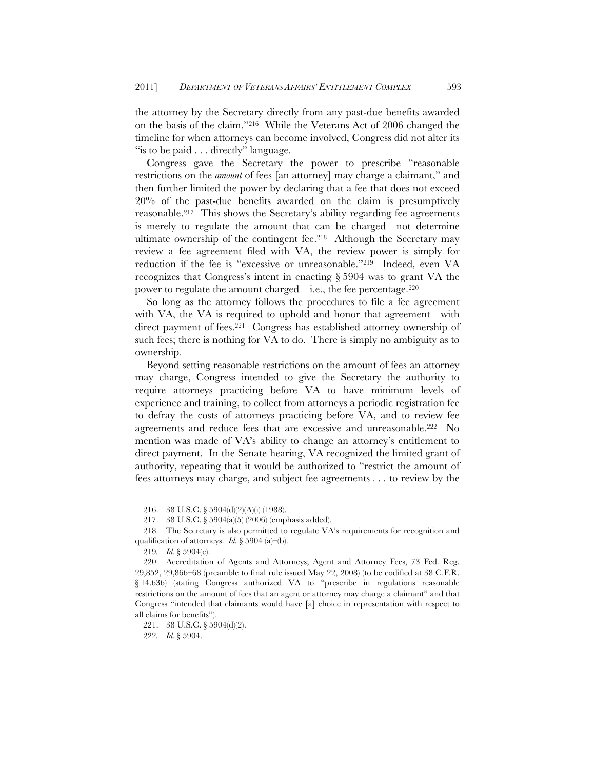the attorney by the Secretary directly from any past-due benefits awarded on the basis of the claim."216 While the Veterans Act of 2006 changed the timeline for when attorneys can become involved, Congress did not alter its "is to be paid . . . directly" language.

Congress gave the Secretary the power to prescribe "reasonable restrictions on the *amount* of fees [an attorney] may charge a claimant," and then further limited the power by declaring that a fee that does not exceed 20% of the past-due benefits awarded on the claim is presumptively reasonable.217 This shows the Secretary's ability regarding fee agreements is merely to regulate the amount that can be charged—not determine ultimate ownership of the contingent fee.218 Although the Secretary may review a fee agreement filed with VA, the review power is simply for reduction if the fee is "excessive or unreasonable."219 Indeed, even VA recognizes that Congress's intent in enacting § 5904 was to grant VA the power to regulate the amount charged—i.e., the fee percentage.220

So long as the attorney follows the procedures to file a fee agreement with VA, the VA is required to uphold and honor that agreement—with direct payment of fees.<sup>221</sup> Congress has established attorney ownership of such fees; there is nothing for VA to do. There is simply no ambiguity as to ownership.

Beyond setting reasonable restrictions on the amount of fees an attorney may charge, Congress intended to give the Secretary the authority to require attorneys practicing before VA to have minimum levels of experience and training, to collect from attorneys a periodic registration fee to defray the costs of attorneys practicing before VA, and to review fee agreements and reduce fees that are excessive and unreasonable.222 No mention was made of VA's ability to change an attorney's entitlement to direct payment. In the Senate hearing, VA recognized the limited grant of authority, repeating that it would be authorized to "restrict the amount of fees attorneys may charge, and subject fee agreements . . . to review by the

<sup>216. 38</sup> U.S.C. § 5904(d)(2)(A)(i) (1988).

<sup>217. 38</sup> U.S.C. § 5904(a)(5) (2006) (emphasis added).

<sup>218.</sup> The Secretary is also permitted to regulate VA's requirements for recognition and qualification of attorneys. *Id.* § 5904 (a)–(b).

<sup>219</sup>*. Id.* § 5904(c).

 <sup>220.</sup> Accreditation of Agents and Attorneys; Agent and Attorney Fees, 73 Fed. Reg. 29,852, 29,866–68 (preamble to final rule issued May 22, 2008) (to be codified at 38 C.F.R. § 14.636) (stating Congress authorized VA to "prescribe in regulations reasonable restrictions on the amount of fees that an agent or attorney may charge a claimant" and that Congress "intended that claimants would have [a] choice in representation with respect to all claims for benefits").

<sup>221. 38</sup> U.S.C. § 5904(d)(2).

<sup>222</sup>*. Id.* § 5904.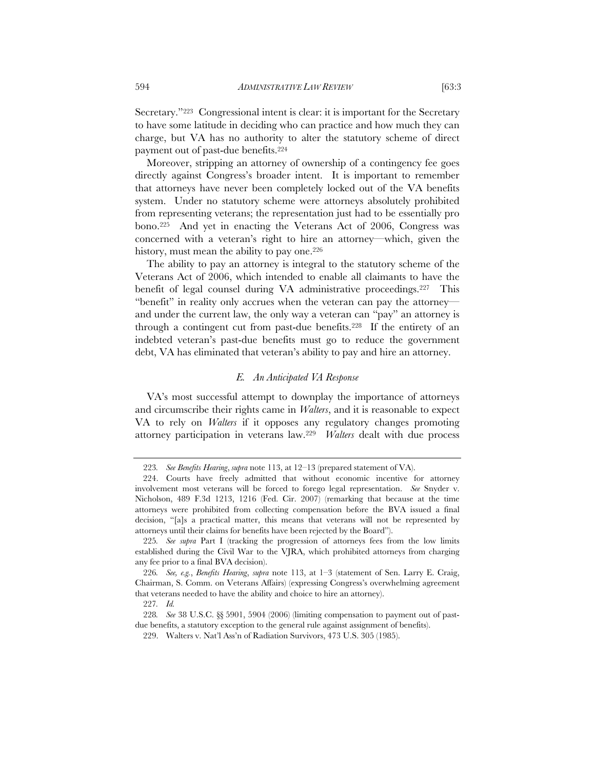Secretary."223 Congressional intent is clear: it is important for the Secretary to have some latitude in deciding who can practice and how much they can charge, but VA has no authority to alter the statutory scheme of direct payment out of past-due benefits.224

Moreover, stripping an attorney of ownership of a contingency fee goes directly against Congress's broader intent. It is important to remember that attorneys have never been completely locked out of the VA benefits system. Under no statutory scheme were attorneys absolutely prohibited from representing veterans; the representation just had to be essentially pro bono.225 And yet in enacting the Veterans Act of 2006, Congress was concerned with a veteran's right to hire an attorney—which, given the history, must mean the ability to pay one.<sup>226</sup>

The ability to pay an attorney is integral to the statutory scheme of the Veterans Act of 2006, which intended to enable all claimants to have the benefit of legal counsel during VA administrative proceedings.227 This "benefit" in reality only accrues when the veteran can pay the attorney and under the current law, the only way a veteran can "pay" an attorney is through a contingent cut from past-due benefits.228 If the entirety of an indebted veteran's past-due benefits must go to reduce the government debt, VA has eliminated that veteran's ability to pay and hire an attorney.

#### *E. An Anticipated VA Response*

VA's most successful attempt to downplay the importance of attorneys and circumscribe their rights came in *Walters*, and it is reasonable to expect VA to rely on *Walters* if it opposes any regulatory changes promoting attorney participation in veterans law.229 *Walters* dealt with due process

<sup>223</sup>*. See Benefits Hearing*, *supra* note 113, at 12–13 (prepared statement of VA).

 <sup>224.</sup> Courts have freely admitted that without economic incentive for attorney involvement most veterans will be forced to forego legal representation. *See* Snyder v. Nicholson, 489 F.3d 1213, 1216 (Fed. Cir. 2007) (remarking that because at the time attorneys were prohibited from collecting compensation before the BVA issued a final decision, "[a]s a practical matter, this means that veterans will not be represented by attorneys until their claims for benefits have been rejected by the Board").

<sup>225</sup>*. See supra* Part I (tracking the progression of attorneys fees from the low limits established during the Civil War to the VJRA, which prohibited attorneys from charging any fee prior to a final BVA decision).

<sup>226</sup>*. See, e.g.*, *Benefits Hearing*, *supra* note 113, at 1–3 (statement of Sen. Larry E. Craig, Chairman, S. Comm. on Veterans Affairs) (expressing Congress's overwhelming agreement that veterans needed to have the ability and choice to hire an attorney).

<sup>227</sup>*. Id.*

<sup>228</sup>*. See* 38 U.S.C. §§ 5901, 5904 (2006) (limiting compensation to payment out of pastdue benefits, a statutory exception to the general rule against assignment of benefits).

<sup>229.</sup> Walters v. Nat'l Ass'n of Radiation Survivors, 473 U.S. 305 (1985).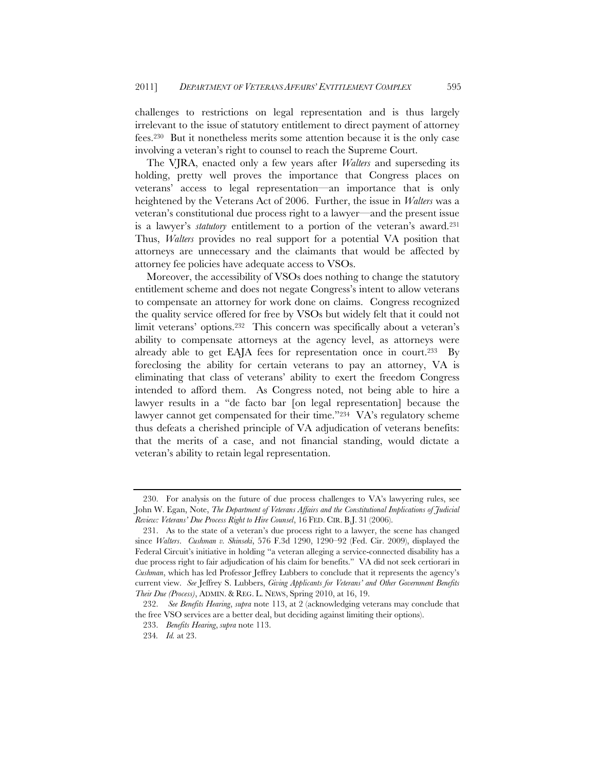challenges to restrictions on legal representation and is thus largely irrelevant to the issue of statutory entitlement to direct payment of attorney fees.230 But it nonetheless merits some attention because it is the only case involving a veteran's right to counsel to reach the Supreme Court.

The VJRA, enacted only a few years after *Walters* and superseding its holding, pretty well proves the importance that Congress places on veterans' access to legal representation—an importance that is only heightened by the Veterans Act of 2006. Further, the issue in *Walters* was a veteran's constitutional due process right to a lawyer—and the present issue is a lawyer's *statutory* entitlement to a portion of the veteran's award.231 Thus, *Walters* provides no real support for a potential VA position that attorneys are unnecessary and the claimants that would be affected by attorney fee policies have adequate access to VSOs.

Moreover, the accessibility of VSOs does nothing to change the statutory entitlement scheme and does not negate Congress's intent to allow veterans to compensate an attorney for work done on claims. Congress recognized the quality service offered for free by VSOs but widely felt that it could not limit veterans' options.232 This concern was specifically about a veteran's ability to compensate attorneys at the agency level, as attorneys were already able to get EAJA fees for representation once in court.<sup>233</sup> By foreclosing the ability for certain veterans to pay an attorney, VA is eliminating that class of veterans' ability to exert the freedom Congress intended to afford them. As Congress noted, not being able to hire a lawyer results in a "de facto bar [on legal representation] because the lawyer cannot get compensated for their time."<sup>234</sup> VA's regulatory scheme thus defeats a cherished principle of VA adjudication of veterans benefits: that the merits of a case, and not financial standing, would dictate a veteran's ability to retain legal representation.

 <sup>230.</sup> For analysis on the future of due process challenges to VA's lawyering rules, see John W. Egan, Note, *The Department of Veterans Affairs and the Constitutional Implications of Judicial Review: Veterans' Due Process Right to Hire Counsel*, 16 FED. CIR. B.J. 31 (2006).

 <sup>231.</sup> As to the state of a veteran's due process right to a lawyer, the scene has changed since *Walters*. *Cushman v. Shinseki*, 576 F.3d 1290, 1290–92 (Fed. Cir. 2009), displayed the Federal Circuit's initiative in holding "a veteran alleging a service-connected disability has a due process right to fair adjudication of his claim for benefits." VA did not seek certiorari in *Cushman*, which has led Professor Jeffrey Lubbers to conclude that it represents the agency's current view. *See* Jeffrey S. Lubbers, *Giving Applicants for Veterans' and Other Government Benefits Their Due (Process)*, ADMIN. & REG. L. NEWS, Spring 2010, at 16, 19.

 <sup>232.</sup> *See Benefits Hearing*, *supra* note 113, at 2 (acknowledging veterans may conclude that the free VSO services are a better deal, but deciding against limiting their options).

 <sup>233.</sup> *Benefits Hearing*, *supra* note 113.

<sup>234</sup>*. Id.* at 23.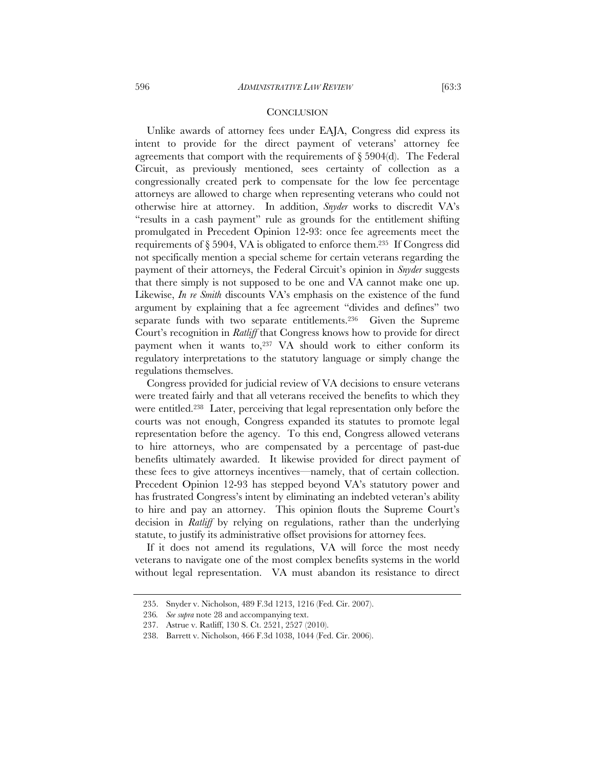Unlike awards of attorney fees under EAJA, Congress did express its intent to provide for the direct payment of veterans' attorney fee agreements that comport with the requirements of  $\S 5904(d)$ . The Federal Circuit, as previously mentioned, sees certainty of collection as a congressionally created perk to compensate for the low fee percentage attorneys are allowed to charge when representing veterans who could not otherwise hire at attorney. In addition, *Snyder* works to discredit VA's "results in a cash payment" rule as grounds for the entitlement shifting promulgated in Precedent Opinion 12-93: once fee agreements meet the requirements of  $\S 5904$ , VA is obligated to enforce them.<sup>235</sup> If Congress did not specifically mention a special scheme for certain veterans regarding the payment of their attorneys, the Federal Circuit's opinion in *Snyder* suggests that there simply is not supposed to be one and VA cannot make one up. Likewise, *In re Smith* discounts VA's emphasis on the existence of the fund argument by explaining that a fee agreement "divides and defines" two separate funds with two separate entitlements.236 Given the Supreme Court's recognition in *Ratliff* that Congress knows how to provide for direct payment when it wants to, $237$  VA should work to either conform its regulatory interpretations to the statutory language or simply change the regulations themselves.

Congress provided for judicial review of VA decisions to ensure veterans were treated fairly and that all veterans received the benefits to which they were entitled.238 Later, perceiving that legal representation only before the courts was not enough, Congress expanded its statutes to promote legal representation before the agency. To this end, Congress allowed veterans to hire attorneys, who are compensated by a percentage of past-due benefits ultimately awarded. It likewise provided for direct payment of these fees to give attorneys incentives—namely, that of certain collection. Precedent Opinion 12-93 has stepped beyond VA's statutory power and has frustrated Congress's intent by eliminating an indebted veteran's ability to hire and pay an attorney. This opinion flouts the Supreme Court's decision in *Ratliff* by relying on regulations, rather than the underlying statute, to justify its administrative offset provisions for attorney fees.

If it does not amend its regulations, VA will force the most needy veterans to navigate one of the most complex benefits systems in the world without legal representation. VA must abandon its resistance to direct

<sup>235.</sup> Snyder v. Nicholson, 489 F.3d 1213, 1216 (Fed. Cir. 2007).

<sup>236</sup>*. See supra* note 28 and accompanying text.

<sup>237.</sup> Astrue v. Ratliff, 130 S. Ct. 2521, 2527 (2010).

<sup>238.</sup> Barrett v. Nicholson, 466 F.3d 1038, 1044 (Fed. Cir. 2006).